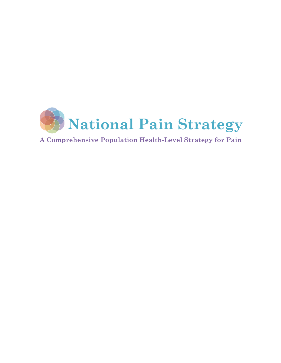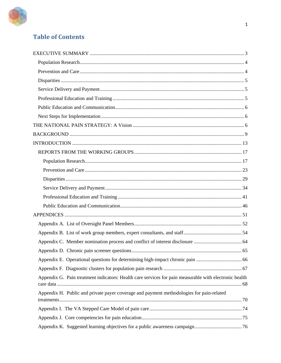

# **Table of Contents**

| Appendix G. Pain treatment indicators: Health care services for pain measurable with electronic health |  |
|--------------------------------------------------------------------------------------------------------|--|
| Appendix H. Public and private payer coverage and payment methodologies for pain-related               |  |
|                                                                                                        |  |
|                                                                                                        |  |
|                                                                                                        |  |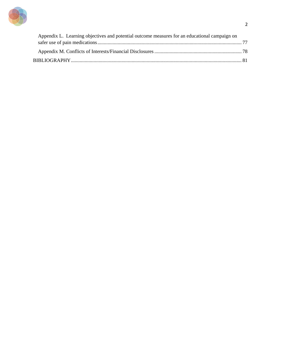

| Appendix L. Learning objectives and potential outcome measures for an educational campaign on |  |
|-----------------------------------------------------------------------------------------------|--|
|                                                                                               |  |
|                                                                                               |  |
|                                                                                               |  |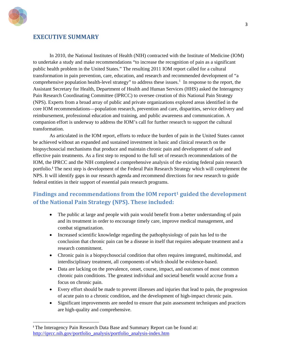

 $\overline{a}$ 

# <span id="page-3-0"></span>**EXECUTIVE SUMMARY**

In 2010, the National Institutes of Health (NIH) contracted with the Institute of Medicine (IOM) to undertake a study and make recommendations "to increase the recognition of pain as a significant public health problem in the United States." The resulting 2011 IOM report called for a cultural transformation in pain prevention, care, education, and research and recommended development of "a comprehensive population health-level strategy" to address these issues.<sup>[1](#page-82-0)</sup> In response to the report, the Assistant Secretary for Health, Department of Health and Human Services (HHS) asked the Interagency Pain Research Coordinating Committee (IPRCC) to oversee creation of this National Pain Strategy (NPS). Experts from a broad array of public and private organizations explored areas identified in the core IOM recommendations—population research, prevention and care, disparities, service delivery and reimbursement, professional education and training, and public awareness and communication. A companion effort is underway to address the IOM's call for further research to support the cultural transformation.

As articulated in the IOM report, efforts to reduce the burden of pain in the United States cannot be achieved without an expanded and sustained investment in basic and clinical research on the biopsychosocial mechanisms that produce and maintain chronic pain and development of safe and effective pain treatments. As a first step to respond to the full set of research recommendations of the IOM, the IPRCC and the NIH completed a comprehensive analysis of the existing federal pain research portfolio. **[i](#page-3-1)** The next step is development of the Federal Pain Research Strategy which will complement the NPS. It will identify gaps in our research agenda and recommend directions for new research to guide federal entities in their support of essential pain research programs.

# **Findings and recommendations from the IOM report1 guided the development of the National Pain Strategy (NPS). These included:**

- The public at large and people with pain would benefit from a better understanding of pain and its treatment in order to encourage timely care, improve medical management, and combat stigmatization.
- Increased scientific knowledge regarding the pathophysiology of pain has led to the conclusion that chronic pain can be a disease in itself that requires adequate treatment and a research commitment.
- Chronic pain is a biopsychosocial condition that often requires integrated, multimodal, and interdisciplinary treatment, all components of which should be evidence-based.
- Data are lacking on the prevalence, onset, course, impact, and outcomes of most common chronic pain conditions. The greatest individual and societal benefit would accrue from a focus on chronic pain.
- Every effort should be made to prevent illnesses and injuries that lead to pain, the progression of acute pain to a chronic condition, and the development of high-impact chronic pain.
- Significant improvements are needed to ensure that pain assessment techniques and practices are high-quality and comprehensive.

<span id="page-3-1"></span><sup>&</sup>lt;sup>i</sup> The Interagency Pain Research Data Base and Summary Report can be found at: [http://iprcc.nih.gov/portfolio\\_analysis/portfolio\\_analysis-index.htm](http://iprcc.nih.gov/portfolio_analysis/portfolio_analysis-index.htm)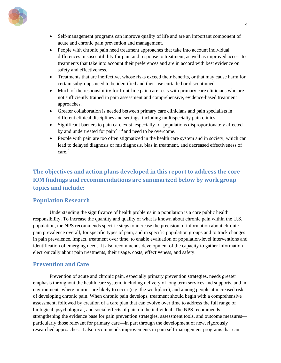

- Self-management programs can improve quality of life and are an important component of acute and chronic pain prevention and management.
- People with chronic pain need treatment approaches that take into account individual differences in susceptibility for pain and response to treatment, as well as improved access to treatments that take into account their preferences and are in accord with best evidence on safety and effectiveness.
- Treatments that are ineffective, whose risks exceed their benefits, or that may cause harm for certain subgroups need to be identified and their use curtailed or discontinued.
- Much of the responsibility for front-line pain care rests with primary care clinicians who are not sufficiently trained in pain assessment and comprehensive, evidence-based treatment approaches.
- Greater collaboration is needed between primary care clinicians and pain specialists in different clinical disciplines and settings, including multispecialty pain clinics.
- Significant barriers to pain care exist, especially for populations disproportionately affected by and undertreated for  $\text{pain}^{2,3, 4}$  $\text{pain}^{2,3, 4}$  $\text{pain}^{2,3, 4}$  $\text{pain}^{2,3, 4}$  $\text{pain}^{2,3, 4}$  $\text{pain}^{2,3, 4}$  and need to be overcome.
- People with pain are too often stigmatized in the health care system and in society, which can lead to delayed diagnosis or misdiagnosis, bias in treatment, and decreased effectiveness of care<sup>[5](#page-82-4)</sup>

# **The objectives and action plans developed in this report to address the core IOM findings and recommendations are summarized below by work group topics and include:**

# <span id="page-4-0"></span>**Population Research**

Understanding the significance of health problems in a population is a core public health responsibility. To increase the quantity and quality of what is known about chronic pain within the U.S. population, the NPS recommends specific steps to increase the precision of information about chronic pain prevalence overall, for specific types of pain, and in specific population groups and to track changes in pain prevalence, impact, treatment over time, to enable evaluation of population-level interventions and identification of emerging needs. It also recommends development of the capacity to gather information electronically about pain treatments, their usage, costs, effectiveness, and safety.

# <span id="page-4-1"></span>**Prevention and Care**

Prevention of acute and chronic pain, especially primary prevention strategies, needs greater emphasis throughout the health care system, including delivery of long term services and supports, and in environments where injuries are likely to occur (e.g. the workplace), and among people at increased risk of developing chronic pain. When chronic pain develops, treatment should begin with a comprehensive assessment, followed by creation of a care plan that can evolve over time to address the full range of biological, psychological, and social effects of pain on the individual. The NPS recommends strengthening the evidence base for pain prevention strategies, assessment tools, and outcome measures particularly those relevant for primary care—in part through the development of new, rigorously researched approaches. It also recommends improvements in pain self-management programs that can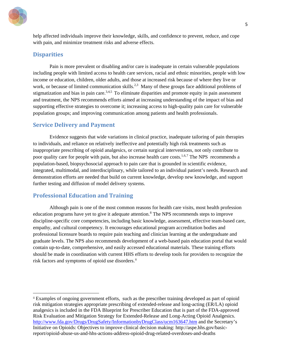

help affected individuals improve their knowledge, skills, and confidence to prevent, reduce, and cope with pain, and minimize treatment risks and adverse effects.

# <span id="page-5-0"></span>**Disparities**

 $\overline{a}$ 

Pain is more prevalent or disabling and/or care is inadequate in certain vulnerable populations including people with limited access to health care services, racial and ethnic minorities, people with low income or education, children, older adults, and those at increased risk because of where they live or work, or because of limited communication skills.<sup>2,3</sup> Many of these groups face additional problems of stigmatization and bias in pain care.<sup>3,4,5</sup> To eliminate disparities and promote equity in pain assessment and treatment, the NPS recommends efforts aimed at increasing understanding of the impact of bias and supporting effective strategies to overcome it; increasing access to high-quality pain care for vulnerable population groups; and improving communication among patients and health professionals.

# <span id="page-5-1"></span>**Service Delivery and Payment**

Evidence suggests that wide variations in clinical practice, inadequate tailoring of pain therapies to individuals, and reliance on relatively ineffective and potentially high risk treatments such as inappropriate prescribing of opioid analgesics, or certain surgical interventions, not only contribute to poor quality care for people with pain, but also increase health care costs.<sup>1,[6](#page-82-5),[7](#page-82-6)</sup> The NPS recommends a population-based, biopsychosocial approach to pain care that is grounded in scientific evidence, integrated, multimodal, and interdisciplinary, while tailored to an individual patient's needs. Research and demonstration efforts are needed that build on current knowledge, develop new knowledge, and support further testing and diffusion of model delivery systems.

# <span id="page-5-2"></span>**Professional Education and Training**

Although pain is one of the most common reasons for health care visits, most health profession education programs have yet to give it adequate attention.<sup>[8](#page-82-7)</sup> The NPS recommends steps to improve discipline-specific core competencies, including basic knowledge, assessment, effective team-based care, empathy, and cultural competency. It encourages educational program accreditation bodies and professional licensure boards to require pain teaching and clinician learning at the undergraduate and graduate levels. The NPS also recommends development of a web-based pain education portal that would contain up-to-date, comprehensive, and easily accessed educational materials. These training efforts should be made in coordination with current HHS efforts to develop tools for providers to recognize the risk factors and symptoms of opioid use disorders.<sup>[ii](#page-5-3)</sup>

<span id="page-5-3"></span>ii Examples of ongoing government efforts, such as the prescriber training developed as part of opioid risk mitigation strategies appropriate prescribing of extended-release and long-acting (ER/LA) opioid analgesics is included in the FDA Blueprint for Prescriber Education that is part of the FDA-approved Risk Evaluation and Mitigation Strategy for Extended-Release and Long-Acting Opioid Analgesics. <http://www.fda.gov/Drugs/DrugSafety/InformationbyDrugClass/ucm163647.htm> and the Secretary's Initiative on Opioids: Objectives to improve clinical decision making: http://aspe.hhs.gov/basicreport/opioid-abuse-us-and-hhs-actions-address-opioid-drug-related-overdoses-and-deaths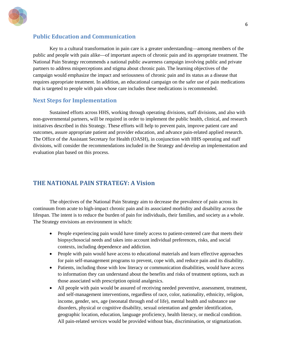

## <span id="page-6-0"></span>**Public Education and Communication**

Key to a cultural transformation in pain care is a greater understanding—among members of the public and people with pain alike—of important aspects of chronic pain and its appropriate treatment. The National Pain Strategy recommends a national public awareness campaign involving public and private partners to address misperceptions and stigma about chronic pain. The learning objectives of the campaign would emphasize the impact and seriousness of chronic pain and its status as a disease that requires appropriate treatment. In addition, an educational campaign on the safer use of pain medications that is targeted to people with pain whose care includes these medications is recommended.

## <span id="page-6-1"></span>**Next Steps for Implementation**

Sustained efforts across HHS, working through operating divisions, staff divisions, and also with non-governmental partners, will be required in order to implement the public health, clinical, and research initiatives described in this Strategy. These efforts will help to prevent pain, improve patient care and outcomes, assure appropriate patient and provider education, and advance pain-related applied research. The Office of the Assistant Secretary for Health (OASH), in conjunction with HHS operating and staff divisions, will consider the recommendations included in the Strategy and develop an implementation and evaluation plan based on this process.

# <span id="page-6-2"></span>**THE NATIONAL PAIN STRATEGY: A Vision**

The objectives of the National Pain Strategy aim to decrease the prevalence of pain across its continuum from acute to high-impact chronic pain and its associated morbidity and disability across the lifespan. The intent is to reduce the burden of pain for individuals, their families, and society as a whole. The Strategy envisions an environment in which:

- People experiencing pain would have timely access to patient-centered care that meets their biopsychosocial needs and takes into account individual preferences, risks, and social contexts, including dependence and addiction.
- People with pain would have access to educational materials and learn effective approaches for pain self-management programs to prevent, cope with, and reduce pain and its disability.
- Patients, including those with low literacy or communication disabilities, would have access to information they can understand about the benefits and risks of treatment options, such as those associated with prescription opioid analgesics.
- All people with pain would be assured of receiving needed preventive, assessment, treatment, and self-management interventions, regardless of race, color, nationality, ethnicity, religion, income, gender, sex, age (neonatal through end of life), mental health and substance use disorders, physical or cognitive disability, sexual orientation and gender identification, geographic location, education, language proficiency, health literacy, or medical condition. All pain-related services would be provided without bias, discrimination, or stigmatization.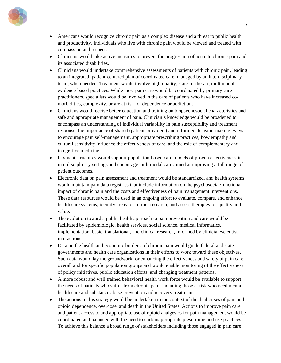

- Americans would recognize chronic pain as a complex disease and a threat to public health and productivity. Individuals who live with chronic pain would be viewed and treated with compassion and respect.
- Clinicians would take active measures to prevent the progression of acute to chronic pain and its associated disabilities.
- Clinicians would undertake comprehensive assessments of patients with chronic pain, leading to an integrated, patient-centered plan of coordinated care, managed by an interdisciplinary team, when needed. Treatment would involve high-quality, state-of-the-art, multimodal, evidence-based practices. While most pain care would be coordinated by primary care practitioners, specialists would be involved in the care of patients who have increased comorbidities, complexity, or are at risk for dependence or addiction.
- Clinicians would receive better education and training on biopsychosocial characteristics and safe and appropriate management of pain. Clinician's knowledge would be broadened to encompass an understanding of individual variability in pain susceptibility and treatment response, the importance of shared (patient-providers) and informed decision-making, ways to encourage pain self-management, appropriate prescribing practices, how empathy and cultural sensitivity influence the effectiveness of care, and the role of complementary and integrative medicine.
- Payment structures would support population-based care models of proven effectiveness in interdisciplinary settings and encourage multimodal care aimed at improving a full range of patient outcomes.
- Electronic data on pain assessment and treatment would be standardized, and health systems would maintain pain data registries that include information on the psychosocial/functional impact of chronic pain and the costs and effectiveness of pain management interventions. These data resources would be used in an ongoing effort to evaluate, compare, and enhance health care systems, identify areas for further research, and assess therapies for quality and value.
- The evolution toward a public health approach to pain prevention and care would be facilitated by epidemiologic, health services, social science, medical informatics, implementation, basic, translational, and clinical research, informed by clinician/scientist interactions.
- Data on the health and economic burdens of chronic pain would guide federal and state governments and health care organizations in their efforts to work toward these objectives. Such data would lay the groundwork for enhancing the effectiveness and safety of pain care overall and for specific population groups and would enable monitoring of the effectiveness of policy initiatives, public education efforts, and changing treatment patterns.
- A more robust and well trained behavioral health work force would be available to support the needs of patients who suffer from chronic pain, including those at risk who need mental health care and substance abuse prevention and recovery treatment.
- The actions in this strategy would be undertaken in the context of the dual crises of pain and opioid dependence, overdose, and death in the United States. Actions to improve pain care and patient access to and appropriate use of opioid analgesics for pain management would be coordinated and balanced with the need to curb inappropriate prescribing and use practices. To achieve this balance a broad range of stakeholders including those engaged in pain care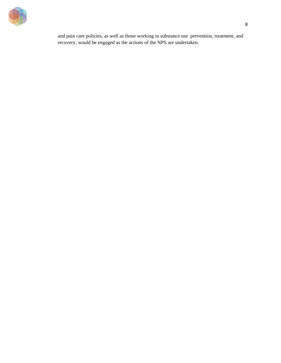

and pain care policies, as well as those working in substance use prevention, treatment, and recovery, would be engaged as the actions of the NPS are undertaken.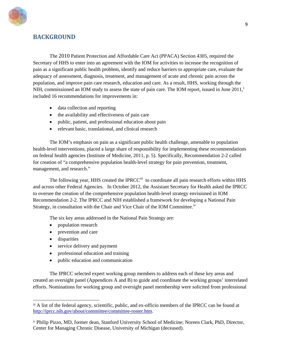

# <span id="page-9-0"></span>**BACKGROUND**

The 2010 Patient Protection and Affordable Care Act (PPACA) Section 4305, required the Secretary of HHS to enter into an agreement with the IOM for activities to increase the recognition of pain as a significant public health problem, identify and reduce barriers to appropriate care, evaluate the adequacy of assessment, diagnosis, treatment, and management of acute and chronic pain across the population, and improve pain care research, education and care. As a result, HHS, working through the NIH, commissioned an IOM study to assess the state of pain care. The IOM report, issued in June  $2011<sup>1</sup>$ included 16 recommendations for improvements in:

- data collection and reporting
- the availability and effectiveness of pain care
- public, patient, and professional education about pain
- relevant basic, translational, and clinical research

The IOM's emphasis on pain as a significant public health challenge, amenable to population health-level interventions, placed a large share of responsibility for implementing these recommendations on federal health agencies (Institute of Medicine, 2011, p. 5). Specifically, Recommendation 2-2 called for creation of "a comprehensive population health-level strategy for pain prevention, treatment, management, and research."

The following year, HHS created the IPRCC<sup>[iii](#page-9-1)</sup> to coordinate all pain research efforts within HHS and across other Federal Agencies. In October 2012, the Assistant Secretary for Health asked the IPRCC to oversee the creation of the comprehensive population health-level strategy envisioned in IOM Recommendation 2-2. The IPRCC and NIH established a framework for developing a National Pain Strategy, in consultation with the Chair and Vice Chair of the IOM Committee.<sup>iv</sup>

The six key areas addressed in the National Pain Strategy are:

- population research
- prevention and care
- disparities

 $\overline{a}$ 

- service delivery and payment
- professional education and training
- public education and communication

The IPRCC selected expert working group members to address each of these key areas and created an oversight panel (Appendices A and B) to guide and coordinate the working groups' interrelated efforts. Nominations for working group and oversight panel membership were solicited from professional

<span id="page-9-1"></span>iii A list of the federal agency, scientific, public, and ex-officio members of the IPRCC can be found at [http://iprcc.nih.gov/about/committee/committee-roster.htm.](http://iprcc.nih.gov/about/committee/committee-roster.htm)

<span id="page-9-2"></span>iv Philip Pizzo, MD, former dean, Stanford University School of Medicine; Noreen Clark, PhD, Director, Center for Managing Chronic Disease, University of Michigan (deceased).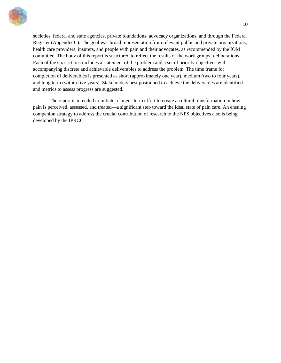

societies, federal and state agencies, private foundations, advocacy organizations, and through the Federal Register (Appendix C). The goal was broad representation from relevant public and private organizations, health care providers, insurers, and people with pain and their advocates, as recommended by the IOM committee. The body of this report is structured to reflect the results of the work groups' deliberations. Each of the six sections includes a statement of the problem and a set of priority objectives with accompanying discrete and achievable deliverables to address the problem. The time frame for completion of deliverables is presented as short (approximately one year), medium (two to four years), and long term (within five years). Stakeholders best positioned to achieve the deliverables are identified and metrics to assess progress are suggested.

The report is intended to initiate a longer-term effort to create a cultural transformation in how pain is perceived, assessed, and treated—a significant step toward the ideal state of pain care. An ensuing companion strategy to address the crucial contribution of research to the NPS objectives also is being developed by the IPRCC.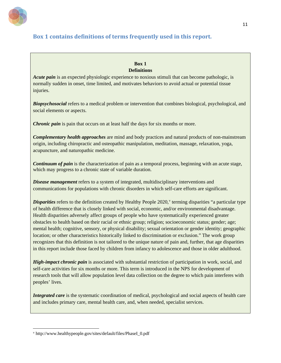

# **Box 1 contains definitions of terms frequently used in this report.**

## **Box 1 Definitions**

*Acute pain* is an expected physiologic experience to noxious stimuli that can become pathologic, is normally sudden in onset, time limited, and motivates behaviors to avoid actual or potential tissue injuries.

*Biopsychosocial* refers to a medical problem or intervention that combines biological, psychological, and social elements or aspects.

*Chronic pain* is pain that occurs on at least half the days for six months or more.

*Complementary health approaches* are mind and body practices and natural products of non-mainstream origin, including chiropractic and osteopathic manipulation, meditation, massage, relaxation, yoga, acupuncture, and naturopathic medicine.

*Continuum of pain* is the characterization of pain as a temporal process, beginning with an acute stage, which may progress to a chronic state of variable duration.

*Disease management* refers to a system of integrated, multidisciplinary interventions and communications for populations with chronic disorders in which self-care efforts are significant.

Disparities refers to the definition created by Healthy People 2020,<sup>[v](#page-11-0)</sup> terming disparities "a particular type of health difference that is closely linked with social, economic, and/or environmental disadvantage. Health disparities adversely affect groups of people who have systematically experienced greater obstacles to health based on their racial or ethnic group; religion; socioeconomic status; gender; age; mental health; cognitive, sensory, or physical disability; sexual orientation or gender identity; geographic location; or other characteristics historically linked to discrimination or exclusion." The work group recognizes that this definition is not tailored to the unique nature of pain and, further, that age disparities in this report include those faced by children from infancy to adolescence and those in older adulthood.

*High-impact chronic pain* is associated with substantial restriction of participation in work, social, and self-care activities for six months or more. This term is introduced in the NPS for development of research tools that will allow population level data collection on the degree to which pain interferes with peoples' lives.

*Integrated care* is the systematic coordination of medical, psychological and social aspects of health care and includes primary care, mental health care, and, when needed, specialist services.

<span id="page-11-0"></span> $\overline{a}$ <sup>v</sup> http://www.healthypeople.gov/sites/default/files/PhaseI\_0.pdf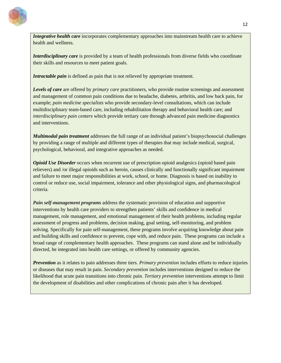

*Integrative health care* incorporates complementary approaches into mainstream health care to achieve health and wellness.

*Interdisciplinary care* is provided by a team of health professionals from diverse fields who coordinate their skills and resources to meet patient goals.

*Intractable pain* is defined as pain that is not relieved by appropriate treatment.

*Levels of care* are offered by *primary care* practitioners, who provide routine screenings and assessment and management of common pain conditions due to headache, diabetes, arthritis, and low back pain, for example; *pain medicine specialists* who provide secondary-level consultations, which can include multidisciplinary team-based care, including rehabilitation therapy and behavioral health care; and *interdisciplinary pain centers* which provide tertiary care through advanced pain medicine diagnostics and interventions.

*Multimodal pain treatment* addresses the full range of an individual patient's biopsychosocial challenges by providing a range of multiple and different types of therapies that may include medical, surgical, psychological, behavioral, and integrative approaches as needed.

*Opioid Use Disorder occurs when recurrent use of prescription opioid analgesics (opioid based pain* relievers) and /or illegal opioids such as heroin, causes clinically and functionally significant impairment and failure to meet major responsibilities at work, school, or home. Diagnosis is based on inability to control or reduce use, social impairment, tolerance and other physiological signs, and pharmacological criteria.

*Pain self-management programs* address the systematic provision of education and supportive interventions by health care providers to strengthen patients' skills and confidence in medical management, role management, and emotional management of their health problems, including regular assessment of progress and problems, decision making, goal setting, self-monitoring, and problem solving. Specifically for pain self-management, these programs involve acquiring knowledge about pain and building skills and confidence to prevent, cope with, and reduce pain. These programs can include a broad range of complementary health approaches. These programs can stand alone and be individually directed, be integrated into health care settings, or offered by community agencies.

*Prevention* as it relates to pain addresses three tiers. *Primary prevention* includes efforts to reduce injuries or diseases that may result in pain. *Secondary prevention* includes interventions designed to reduce the likelihood that acute pain transitions into chronic pain. *Tertiary prevention* interventions attempt to limit the development of disabilities and other complications of chronic pain after it has developed.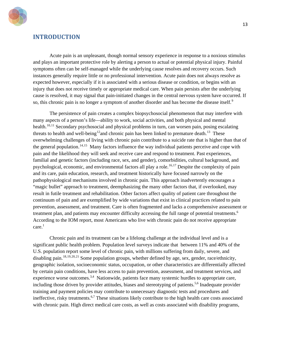

# <span id="page-13-0"></span>**INTRODUCTION**

Acute pain is an unpleasant, though normal sensory experience in response to a noxious stimulus and plays an important protective role by alerting a person to actual or potential physical injury. Painful symptoms often can be self-managed while the underlying cause resolves and recovery occurs. Such instances generally require little or no professional intervention. Acute pain does not always resolve as expected however, especially if it is associated with a serious disease or condition, or begins with an injury that does not receive timely or appropriate medical care. When pain persists after the underlying cause is resolved, it may signal that pain-initiated changes in the central nervous system have occurred. If so, this chronic pain is no longer a symptom of another disorder and has become the disease itself.<sup>[9](#page-83-0)</sup>

The persistence of pain creates a complex biopsychosocial phenomenon that may interfere with many aspects of a person's life—ability to work, social activities, and both physical and mental health.<sup>[10](#page-83-1),[11](#page-83-2)</sup> Secondary psychosocial and physical problems in turn, can worsen pain, posing escalating threats to health and well-being<sup>[12](#page-83-3)</sup> and chronic pain has been linked to premature death.<sup>[13](#page-83-4)</sup> These overwhelming challenges of living with chronic pain contribute to a suicide rate that is higher than that of the general population.<sup>[14,](#page-83-5)[15](#page-83-6)</sup> Many factors influence the way individual patients perceive and cope with pain and the likelihood they will seek and receive care and respond to treatment. Past experiences, familial and genetic factors (including race, sex, and gender), comorbidities, cultural background, and psychological, economic, and environmental factors all play a role.<sup>[16,](#page-83-7)[17](#page-83-8)</sup> Despite the complexity of pain and its care, pain education, research, and treatment historically have focused narrowly on the pathophysiological mechanisms involved in chronic pain. This approach inadvertently encourages a "magic bullet" approach to treatment, deemphasizing the many other factors that, if overlooked, may result in futile treatment and rehabilitation. Other factors affect quality of patient care throughout the continuum of pain and are exemplified by wide variations that exist in clinical practices related to pain prevention, assessment, and treatment. Care is often fragmented and lacks a comprehensive assessment or treatment plan, and patients may encounter difficulty accessing the full range of potential treatments.<sup>6</sup> According to the IOM report, most Americans who live with chronic pain do not receive appropriate  $care.<sup>1</sup>$ 

Chronic pain and its treatment can be a lifelong challenge at the individual level and is a significant public health problem. Population level surveys indicate that between 11% and 40% of the U.S. population report some level of chronic pain, with millions suffering from daily, severe, and disabling pain.<sup>[18](#page-83-9),[19,](#page-83-10)[20](#page-83-11),[21](#page-83-12)</sup> Some population groups, whether defined by age, sex, gender, race/ethnicity, geographic isolation, socioeconomic status, occupation, or other characteristics are differentially affected by certain pain conditions, have less access to pain prevention, assessment, and treatment services, and experience worse outcomes.<sup>3,4</sup> Nationwide, patients face many systemic hurdles to appropriate care, including those driven by provider attitudes, biases and stereotyping of patients.<sup>5,6</sup> Inadequate provider training and payment policies may contribute to unnecessary diagnostic tests and procedures and ineffective, risky treatments.<sup>6,7</sup> These situations likely contribute to the high health care costs associated with chronic pain. High direct medical care costs, as well as costs associated with disability programs,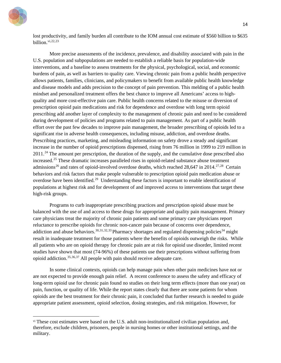

 $\ddot{\phantom{a}}$ 

lost productivity, and family burden all contribute to the IOM annual cost estimate of \$560 billion to \$635 billion. [vi](#page-14-0),[22,](#page-83-13)[23](#page-83-14)

More precise assessments of the incidence, prevalence, and disability associated with pain in the U.S. population and subpopulations are needed to establish a reliable basis for population-wide interventions, and a baseline to assess treatments for the physical, psychological, social, and economic burdens of pain, as well as barriers to quality care. Viewing chronic pain from a public health perspective allows patients, families, clinicians, and policymakers to benefit from available public health knowledge and disease models and adds precision to the concept of pain prevention. This melding of a public health mindset and personalized treatment offers the best chance to improve all Americans' access to highquality and more cost-effective pain care. Public health concerns related to the misuse or diversion of prescription opioid pain medications and risk for dependence and overdose with long term opioid prescribing add another layer of complexity to the management of chronic pain and need to be considered during development of policies and programs related to pain management. As part of a public health effort over the past few decades to improve pain management, the broader prescribing of opioids led to a significant rise in adverse health consequences, including misuse, addiction, and overdose deaths. Prescribing practices, marketing, and misleading information on safety drove a steady and significant increase in the number of opioid prescriptions dispensed, rising from 76 million in 1999 to 219 million in  $2011<sup>24</sup>$  $2011<sup>24</sup>$  $2011<sup>24</sup>$  The amount per prescription, the duration of the supply, and the cumulative dose prescribed also increased.[25](#page-83-16) These dramatic increases paralleled rises in opioid-related substance abuse treatment admissions<sup>[26](#page-83-17)</sup> and rates of opioid-involved overdose deaths, which reached 28,647 in 2014.<sup>[27,](#page-83-18)28</sup> Certain behaviors and risk factors that make people vulnerable to prescription opioid pain medication abuse or overdose have been identified.<sup>29</sup> Understanding these factors is important to enable identification of populations at highest risk and for development of and improved access to interventions that target these high-risk groups.

Programs to curb inappropriate prescribing practices and prescription opioid abuse must be balanced with the use of and access to these drugs for appropriate and quality pain management. Primary care physicians treat the majority of chronic pain patients and some primary care physicians report reluctance to prescribe opioids for chronic non-cancer pain because of concerns over dependence, addiction and abuse behaviors.<sup>[30](#page-83-21),[31,](#page-83-22)[32,](#page-83-23)[33](#page-83-24)</sup> Pharmacy shortages and regulated dispensing policies<sup>[34](#page-83-25)</sup> might result in inadequate treatment for those patients where the benefits of opioids outweigh the risks. While all patients who are on opioid therapy for chronic pain are at risk for opioid use disorder, limited recent studies have shown that most (74-96%) of these patients use their prescriptions without suffering from opioid addiction.[35](#page-83-26),[36](#page-83-27),[37](#page-83-28) All people with pain should receive adequate care.

In some clinical contexts, opioids can help manage pain when other pain medicines have not or are not expected to provide enough pain relief. A recent conference to assess the safety and efficacy of long-term opioid use for chronic pain found no studies on their long term effects (more than one year) on pain, function, or quality of life. While the report states clearly that there are some patients for whom opioids are the best treatment for their chronic pain, it concluded that further research is needed to guide appropriate patient assessment, opioid selection, dosing strategies, and risk mitigation. However, for

<span id="page-14-0"></span>v<sup>i</sup> These cost estimates were based on the U.S. adult non-institutionalized civilian population and, therefore, exclude children, prisoners, people in nursing homes or other institutional settings, and the military.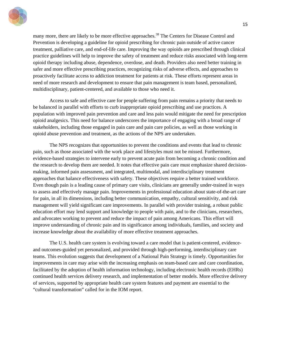

many more, there are likely to be more effective approaches.<sup>[38](#page-83-29)</sup> The Centers for Disease Control and Prevention is developing a guideline for opioid prescribing for chronic pain outside of active cancer treatment, palliative care, and end-of-life care. Improving the way opioids are prescribed through clinical practice guidelines will help to improve the safety of treatment and reduce risks associated with long-term opioid therapy including abuse, dependence, overdose, and death. Providers also need better training in safer and more effective prescribing practices, recognizing risks of adverse effects, and approaches to proactively facilitate access to addiction treatment for patients at risk. These efforts represent areas in need of more research and development to ensure that pain management is team based, personalized, multidisciplinary, patient-centered, and available to those who need it.

Access to safe and effective care for people suffering from pain remains a priority that needs to be balanced in parallel with efforts to curb inappropriate opioid prescribing and use practices. A population with improved pain prevention and care and less pain would mitigate the need for prescription opioid analgesics. This need for balance underscores the importance of engaging with a broad range of stakeholders, including those engaged in pain care and pain care policies, as well as those working in opioid abuse prevention and treatment, as the actions of the NPS are undertaken.

The NPS recognizes that opportunities to prevent the conditions and events that lead to chronic pain, such as those associated with the work place and lifestyles must not be missed. Furthermore, evidence-based strategies to intervene early to prevent acute pain from becoming a chronic condition and the research to develop them are needed. It notes that effective pain care must emphasize shared decisionmaking, informed pain assessment, and integrated, multimodal, and interdisciplinary treatment approaches that balance effectiveness with safety. These objectives require a better trained workforce. Even though pain is a leading cause of primary care visits, clinicians are generally under-trained in ways to assess and effectively manage pain. Improvements in professional education about state-of-the-art care for pain, in all its dimensions, including better communication, empathy, cultural sensitivity, and risk management will yield significant care improvements. In parallel with provider training, a robust public education effort may lend support and knowledge to people with pain, and to the clinicians, researchers, and advocates working to prevent and reduce the impact of pain among Americans. This effort will improve understanding of chronic pain and its significance among individuals, families, and society and increase knowledge about the availability of more effective treatment approaches.

The U.S. health care system is evolving toward a care model that is patient-centered, evidenceand outcomes-guided yet personalized, and provided through high-performing, interdisciplinary care teams. This evolution suggests that development of a National Pain Strategy is timely. Opportunities for improvements in care may arise with the increasing emphasis on team-based care and care coordination, facilitated by the adoption of health information technology, including electronic health records (EHRs) continued health services delivery research, and implementation of better models. More effective delivery of services, supported by appropriate health care system features and payment are essential to the "cultural transformation" called for in the IOM report.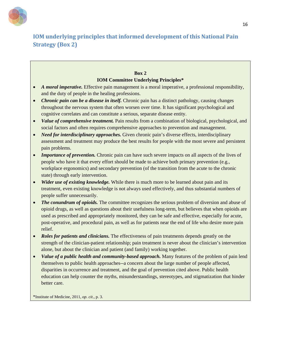

# **IOM underlying principles that informed development of this National Pain Strategy (Box 2)**

## **Box 2 IOM Committee Underlying Principles\***

- *A moral imperative.* Effective pain management is a moral imperative, a professional responsibility, and the duty of people in the healing professions.
- *Chronic pain can be a disease in itself.* Chronic pain has a distinct pathology, causing changes throughout the nervous system that often worsen over time. It has significant psychological and cognitive correlates and can constitute a serious, separate disease entity.
- *Value of comprehensive treatment.* Pain results from a combination of biological, psychological, and social factors and often requires comprehensive approaches to prevention and management.
- *Need for interdisciplinary approaches.* Given chronic pain's diverse effects, interdisciplinary assessment and treatment may produce the best results for people with the most severe and persistent pain problems.
- *Importance of prevention.* Chronic pain can have such severe impacts on all aspects of the lives of people who have it that every effort should be made to achieve both primary prevention (e.g., workplace ergonomics) and secondary prevention (of the transition from the acute to the chronic state) through early intervention.
- *Wider use of existing knowledge.* While there is much more to be learned about pain and its treatment, even existing knowledge is not always used effectively, and thus substantial numbers of people suffer unnecessarily.
- *The conundrum of opioids*. The committee recognizes the serious problem of diversion and abuse of opioid drugs, as well as questions about their usefulness long-term, but believes that when opioids are used as prescribed and appropriately monitored, they can be safe and effective, especially for acute, post-operative, and procedural pain, as well as for patients near the end of life who desire more pain relief.
- *Roles for patients and clinicians.* The effectiveness of pain treatments depends greatly on the strength of the clinician-patient relationship; pain treatment is never about the clinician's intervention alone, but about the clinician and patient (and family) working together.
- *Value of a public health and community-based approach.* Many features of the problem of pain lend themselves to public health approaches--a concern about the large number of people affected, disparities in occurrence and treatment, and the goal of prevention cited above. Public health education can help counter the myths, misunderstandings, stereotypes, and stigmatization that hinder better care.

\*Institute of Medicine, 2011, *op. cit*., p. 3.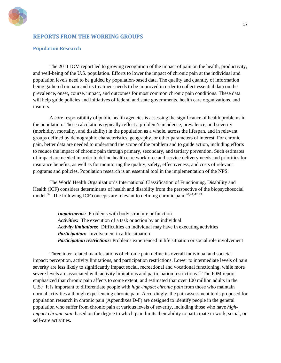

## <span id="page-17-0"></span>**REPORTS FROM THE WORKING GROUPS**

#### <span id="page-17-1"></span>**Population Research**

The 2011 IOM report led to growing recognition of the impact of pain on the health, productivity, and well-being of the U.S. population. Efforts to lower the impact of chronic pain at the individual and population levels need to be guided by population-based data. The quality and quantity of information being gathered on pain and its treatment needs to be improved in order to collect essential data on the prevalence, onset, course, impact, and outcomes for most common chronic pain conditions. These data will help guide policies and initiatives of federal and state governments, health care organizations, and insurers.

A core responsibility of public health agencies is assessing the significance of health problems in the population. These calculations typically reflect a problem's incidence, prevalence, and severity (morbidity, mortality, and disability) in the population as a whole, across the lifespan, and in relevant groups defined by demographic characteristics, geography, or other parameters of interest. For chronic pain, better data are needed to understand the scope of the problem and to guide action, including efforts to reduce the impact of chronic pain through primary, secondary, and tertiary prevention. Such estimates of impact are needed in order to define health care workforce and service delivery needs and priorities for insurance benefits, as well as for monitoring the quality, safety, effectiveness, and costs of relevant programs and policies. Population research is an essential tool in the implementation of the NPS.

The World Health Organization's International Classification of Functioning, Disability and Health (ICF) considers determinants of health and disability from the perspective of the biopsychosocial model.<sup>39</sup> The following ICF concepts are relevant to defining chronic pain:  $40,41,42,43$  $40,41,42,43$  $40,41,42,43$  $40,41,42,43$  $40,41,42,43$ 

> *Impairments:* Problems with body structure or function *Activities:* The execution of a task or action by an individual *Activity limitations:* Difficulties an individual may have in executing activities *Participation:* Involvement in a life situation *Participation restrictions:* Problems experienced in life situation or social role involvement

Three inter-related manifestations of chronic pain define its overall individual and societal impact: perception, activity limitations, and participation restrictions. Lower to intermediate levels of pain severity are less likely to significantly impact social, recreational and vocational functioning, while more severe levels are associated with activity limitations and participation restrictions.<sup>25</sup> The IOM report emphasized that chronic pain affects to some extent, and estimated that over 100 million adults in the U.S.<sup>1</sup> It is important to differentiate people with *high-impact chronic pain* from those who maintain normal activities although experiencing chronic pain. Accordingly, the pain assessment tools proposed for population research in chronic pain (Appendixes D-F) are designed to identify people in the general population who suffer from chronic pain at various levels of severity, including those who have *highimpact chronic pain* based on the degree to which pain limits their ability to participate in work, social, or self-care activities.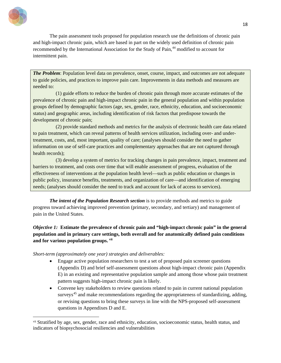

 $\ddot{\phantom{a}}$ 

The pain assessment tools proposed for population research use the definitions of chronic pain and high-impact chronic pain, which are based in part on the widely used definition of chronic pain recommended by the International Association for the Study of Pain,<sup>[44](#page-83-13)</sup> modified to account for intermittent pain.

*The Problem*: Population level data on prevalence, onset, course, impact, and outcomes are not adequate to guide policies, and practices to improve pain care. Improvements in data methods and measures are needed to:

(1) guide efforts to reduce the burden of chronic pain through more accurate estimates of the prevalence of chronic pain and high-impact chronic pain in the general population and within population groups defined by demographic factors (age, sex, gender, race, ethnicity, education, and socioeconomic status) and geographic areas, including identification of risk factors that predispose towards the development of chronic pain;

(2) provide standard methods and metrics for the analysis of electronic health care data related to pain treatment, which can reveal patterns of health services utilization, including over- and undertreatment, costs, and, most important, quality of care; (analyses should consider the need to gather information on use of self-care practices and complementary approaches that are not captured through health records);

(3) develop a system of metrics for tracking changes in pain prevalence, impact, treatment and barriers to treatment, and costs over time that will enable assessment of progress, evaluation of the effectiveness of interventions at the population health level—such as public education or changes in public policy, insurance benefits, treatments, and organization of care—and identification of emerging needs; (analyses should consider the need to track and account for lack of access to services).

*The intent of the Population Research section* is to provide methods and metrics to guide progress toward achieving improved prevention (primary, secondary, and tertiary) and management of pain in the United States.

*Objective 1:* **Estimate the prevalence of chronic pain and "high-impact chronic pain" in the general population and in primary care settings, both overall and for anatomically defined pain conditions and for various population groups. [vii](#page-18-0)**

*Short-term (approximately one year) strategies and deliverables:* 

- Engage active population researchers to test a set of proposed pain screener questions (Appendix D) and brief self-assessment questions about high-impact chronic pain (Appendix E) in an existing and representative population sample and among those whose pain treatment pattern suggests high-impact chronic pain is likely.
- Convene key stakeholders to review questions related to pain in current national population surveys<sup>[45](#page-83-34)</sup> and make recommendations regarding the appropriateness of standardizing, adding, or revising questions to bring these surveys in line with the NPS-proposed self-assessment questions in Appendixes D and E.

<span id="page-18-0"></span>vii Stratified by age, sex, gender, race and ethnicity, education, socioeconomic status, health status, and indicators of biopsychosocial resiliencies and vulnerabilities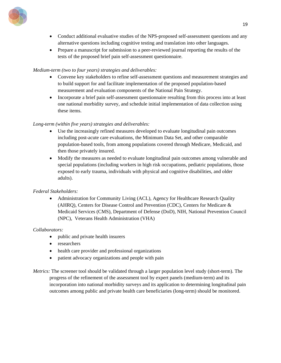

- Conduct additional evaluative studies of the NPS-proposed self-assessment questions and any alternative questions including cognitive testing and translation into other languages.
- Prepare a manuscript for submission to a peer-reviewed journal reporting the results of the tests of the proposed brief pain self-assessment questionnaire.

## *Medium-term (two to four years) strategies and deliverables:*

- Convene key stakeholders to refine self-assessment questions and measurement strategies and to build support for and facilitate implementation of the proposed population-based measurement and evaluation components of the National Pain Strategy.
- Incorporate a brief pain self-assessment questionnaire resulting from this process into at least one national morbidity survey, and schedule initial implementation of data collection using these items.

## *Long-term (within five years) strategies and deliverables:*

- Use the increasingly refined measures developed to evaluate longitudinal pain outcomes including post-acute care evaluations, the Minimum Data Set, and other comparable population-based tools, from among populations covered through Medicare, Medicaid, and then those privately insured.
- Modify the measures as needed to evaluate longitudinal pain outcomes among vulnerable and special populations (including workers in high risk occupations, pediatric populations, those exposed to early trauma, individuals with physical and cognitive disabilities, and older adults).

## *Federal Stakeholders:*

• Administration for Community Living (ACL), Agency for Healthcare Research Quality (AHRQ), Centers for Disease Control and Prevention (CDC), Centers for Medicare & Medicaid Services (CMS), Department of Defense (DoD), NIH, National Prevention Council (NPC), Veterans Health Administration (VHA)

## *Collaborators:*

- public and private health insurers
- researchers
- health care provider and professional organizations
- patient advocacy organizations and people with pain
- *Metrics:* The screener tool should be validated through a larger population level study (short-term). The progress of the refinement of the assessment tool by expert panels (medium-term) and its incorporation into national morbidity surveys and its application to determining longitudinal pain outcomes among public and private health care beneficiaries (long-term) should be monitored.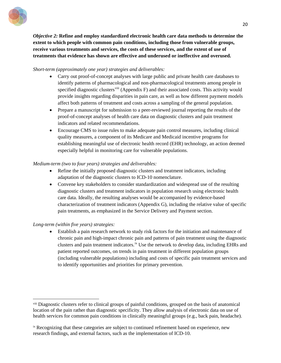

*Objective 2:* **Refine and employ standardized electronic health care data methods to determine the extent to which people with common pain conditions, including those from vulnerable groups, receive various treatments and services, the costs of these services, and the extent of use of treatments that evidence has shown are effective and underused or ineffective and overused.** 

#### *Short-term (approximately one year) strategies and deliverables:*

- Carry out proof-of-concept analyses with large public and private health care databases to identify patterns of pharmacological and non-pharmacological treatments among people in specified diagnostic clusters<sup>[viii](#page-20-0)</sup> (Appendix F) and their associated costs. This activity would provide insights regarding disparities in pain care, as well as how different payment models affect both patterns of treatment and costs across a sampling of the general population.
- Prepare a manuscript for submission to a peer-reviewed journal reporting the results of the proof-of-concept analyses of health care data on diagnostic clusters and pain treatment indicators and related recommendations.
- Encourage CMS to issue rules to make adequate pain control measures, including clinical quality measures, a component of its Medicare and Medicaid incentive programs for establishing meaningful use of electronic health record (EHR) technology, an action deemed especially helpful in monitoring care for vulnerable populations.

## *Medium-term (two to four years) strategies and deliverables:*

- Refine the initially proposed diagnostic clusters and treatment indicators, including adaptation of the diagnostic clusters to ICD-10 nomenclature.
- Convene key stakeholders to consider standardization and widespread use of the resulting diagnostic clusters and treatment indicators in population research using electronic health care data. Ideally, the resulting analyses would be accompanied by evidence-based characterization of treatment indicators (Appendix G), including the relative value of specific pain treatments, as emphasized in the Service Delivery and Payment section.

## *Long-term (within five years) strategies:*

 $\overline{a}$ 

• Establish a pain research network to study risk factors for the initiation and maintenance of chronic pain and high-impact chronic pain and patterns of pain treatment using the diagnostic clusters and pain treatment indicators.<sup>[ix](#page-20-1)</sup> Use the network to develop data, including EHRs and patient reported outcomes, on trends in pain treatment in different population groups (including vulnerable populations) including and costs of specific pain treatment services and to identify opportunities and priorities for primary prevention.

<span id="page-20-0"></span>viii Diagnostic clusters refer to clinical groups of painful conditions, grouped on the basis of anatomical location of the pain rather than diagnostic specificity. They allow analysis of electronic data on use of health services for common pain conditions in clinically meaningful groups (e.g., back pain, headache).

<span id="page-20-1"></span>ix Recognizing that these categories are subject to continued refinement based on experience, new research findings, and external factors, such as the implementation of ICD-10.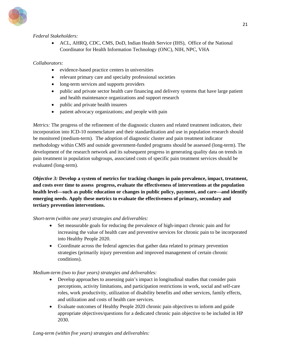

## *Federal Stakeholders:*

• ACL, AHRQ, CDC, CMS, DoD, Indian Health Service (IHS), Office of the National Coordinator for Health Information Technology (ONC), NIH, NPC, VHA

## *Collaborators:*

- evidence-based practice centers in universities
- relevant primary care and specialty professional societies
- long-term services and supports providers
- public and private sector health care financing and delivery systems that have large patient and health maintenance organizations and support research
- public and private health insurers
- patient advocacy organizations; and people with pain

*Metrics:* The progress of the refinement of the diagnostic clusters and related treatment indicators, their incorporation into ICD-10 nomenclature and their standardization and use in population research should be monitored (medium-term). The adoption of diagnostic cluster and pain treatment indicator methodology within CMS and outside government-funded programs should be assessed (long-term). The development of the research network and its subsequent progress in generating quality data on trends in pain treatment in population subgroups, associated costs of specific pain treatment services should be evaluated (long-term).

*Objective 3:* **Develop a system of metrics for tracking changes in pain prevalence, impact, treatment, and costs over time to assess progress, evaluate the effectiveness of interventions at the population health level—such as public education or changes in public policy, payment, and care—and identify emerging needs. Apply these metrics to evaluate the effectiveness of primary, secondary and tertiary prevention interventions.** 

## *Short-term (within one year) strategies and deliverables:*

- Set measurable goals for reducing the prevalence of high-impact chronic pain and for increasing the value of health care and preventive services for chronic pain to be incorporated into Healthy People 2020.
- Coordinate across the federal agencies that gather data related to primary prevention strategies (primarily injury prevention and improved management of certain chronic conditions).

## *Medium-term (two to four years) strategies and deliverables:*

- Develop approaches to assessing pain's impact in longitudinal studies that consider pain perceptions, activity limitations, and participation restrictions in work, social and self-care roles, work productivity, utilization of disability benefits and other services, family effects, and utilization and costs of health care services.
- Evaluate outcomes of Healthy People 2020 chronic pain objectives to inform and guide appropriate objectives/questions for a dedicated chronic pain objective to be included in HP 2030.

*Long-term (within five years) strategies and deliverables:*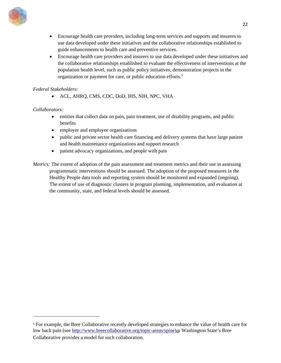

- Encourage health care providers, including long-term services and supports and insurers to use data developed under these initiatives and the collaborative relationships established to guide enhancements to health care and preventive services.
- Encourage health care providers and insurers to use data developed under these initiatives and the collaborative relationships established to evaluate the effectiveness of interventions at the population health level, such as public policy initiatives, demonstration projects in the organization or payment for care, or public education efforts.<sup>[x](#page-22-0)</sup>

## *Federal Stakeholders:*

• ACL, AHRQ, CMS*,* CDC, DoD, IHS, NIH, NPC, VHA

## *Collaborators:*

- entities that collect data on pain, pain treatment, use of disability programs, and public benefits
- employer and employee organizations
- public and private sector health care financing and delivery systems that have large patient and health maintenance organizations and support research
- patient advocacy organizations, and people with pain

*Metrics:* The extent of adoption of the pain assessment and treatment metrics and their use in assessing programmatic interventions should be assessed. The adoption of the proposed measures in the Healthy People data tools and reporting system should be monitored and expanded (ongoing). The extent of use of diagnostic clusters in program planning, implementation, and evaluation at the community, state, and federal levels should be assessed.

<span id="page-22-0"></span><sup>x</sup> For example, the [Bree Collaborative recently developed strategies to e](http://www.breecollaborative.org/topic-areas/spine)nhance the value of health care for low back pain (see http://www.breecollaborative.org/topic-areas/spine) [.](http://www.ninds.nih.gov/exit_disclaimer.htm) Washington State's Bree Collaborative provides a model for such collaboration.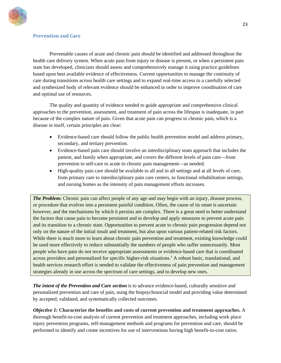

## <span id="page-23-0"></span>**Prevention and Care**

Preventable causes of acute and chronic pain should be identified and addressed throughout the health care delivery system. When acute pain from injury or disease is present, or when a persistent pain state has developed, clinicians should assess and comprehensively manage it using practice guidelines based upon best available evidence of effectiveness. Current opportunities to manage the continuity of care during transitions across health care settings and to expand real-time access to a carefully selected and synthesized body of relevant evidence should be enhanced in order to improve coordination of care and optimal use of resources.

The quality and quantity of evidence needed to guide appropriate and comprehensive clinical approaches to the prevention, assessment, and treatment of pain across the lifespan is inadequate, in part because of the complex nature of pain. Given that acute pain can progress to chronic pain, which is a disease in itself, certain principles are clear:

- Evidence-based care should follow the public health prevention model and address primary, secondary, and tertiary prevention.
- Evidence-based pain care should involve an interdisciplinary team approach that includes the patient, and family when appropriate, and covers the different levels of pain care—from prevention to self-care to acute to chronic pain management—as needed.
- High-quality pain care should be available to all and in all settings and at all levels of care, from primary care to interdisciplinary pain care centers, to functional rehabilitation settings, and nursing homes as the intensity of pain management efforts increases.

*The Problem:* Chronic pain can affect people of any age and may begin with an injury, disease process, or procedure that evolves into a persistent painful condition. Often, the cause of its onset is uncertain however, and the mechanisms by which it persists are complex. There is a great need to better understand the factors that cause pain to become persistent and to develop and apply measures to prevent acute pain and its transition to a chronic state. Opportunities to prevent acute to chronic pain progression depend not only on the nature of the initial insult and treatment, but also upon various patient-related risk factors. While there is much more to learn about chronic pain prevention and treatment, existing knowledge could be used more effectively to reduce substantially the numbers of people who suffer unnecessarily. Most people who have pain do not receive appropriate assessments or evidence-based care that is coordinated across providers and personalized for specific higher-risk situations.<sup>1</sup> A robust basic, translational, and health services research effort is needed to validate the effectiveness of pain prevention and management strategies already in use across the spectrum of care settings, and to develop new ones.

*The intent of the Prevention and Care section* is to advance evidence-based, culturally sensitive and personalized prevention and care of pain, using the biopsychosocial model and providing value determined by accepted, validated, and systematically collected outcomes.

*Objective 1:* **Characterize the benefits and costs of current prevention and treatment approaches.** A thorough benefit-to-cost analysis of current prevention and treatment approaches, including work place injury prevention programs, self-management methods and programs for prevention and care, should be performed to identify and create incentives for use of interventions having high benefit-to-cost ratios.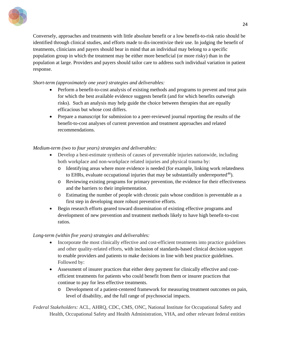

Conversely, approaches and treatments with little absolute benefit or a low benefit-to-risk ratio should be identified through clinical studies, and efforts made to dis-incentivize their use. In judging the benefit of treatments, clinicians and payers should bear in mind that an individual may belong to a specific population group in which the treatment may be either more beneficial (or more risky) than in the population at large. Providers and payers should tailor care to address such individual variation in patient response.

## *Short-term (approximately one year) strategies and deliverables:*

- Perform a benefit-to-cost analysis of existing methods and programs to prevent and treat pain for which the best available evidence suggests benefit (and for which benefits outweigh risks). Such an analysis may help guide the choice between therapies that are equally efficacious but whose cost differs.
- Prepare a manuscript for submission to a peer-reviewed journal reporting the results of the benefit-to-cost analyses of current prevention and treatment approaches and related recommendations.

## *Medium-term (two to four years) strategies and deliverables:*

- Develop a best-estimate synthesis of causes of preventable injuries nationwide, including both workplace and non-workplace related injuries and physical trauma by:
	- o Identifying areas where more evidence is needed (for example, linking work relatedness to EHRs, evaluate occupational injuries that may be substantially underreported $46$ ).
	- o Reviewing existing programs for primary prevention, the evidence for their effectiveness and the barriers to their implementation.
	- o Estimating the number of people with chronic pain whose condition is preventable as a first step in developing more robust preventive efforts.
- Begin research efforts geared toward dissemination of existing effective programs and development of new prevention and treatment methods likely to have high benefit-to-cost ratios.

#### *Long-term (within five years) strategies and deliverables:*

- Incorporate the most clinically effective and cost-efficient treatments into practice guidelines and other quality-related efforts, with inclusion of standards-based clinical decision support to enable providers and patients to make decisions in line with best practice guidelines. Followed by:
- Assessment of insurer practices that either deny payment for clinically effective and costefficient treatments for patients who could benefit from them or insurer practices that continue to pay for less effective treatments.
	- o Development of a patient-centered framework for measuring treatment outcomes on pain, level of disability, and the full range of psychosocial impacts.

*Federal Stakeholders:* ACL, AHRQ, CDC, CMS, ONC, National Institute for Occupational Safety and Health, Occupational Safety and Health Administration, VHA, and other relevant federal entities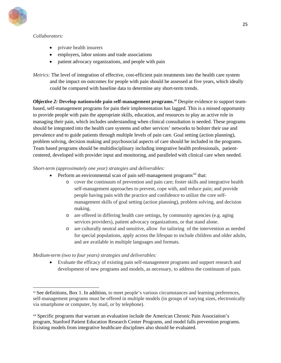

#### *Collaborators:*

 $\overline{a}$ 

- private health insurers
- employers, labor unions and trade associations
- patient advocacy organizations, and people with pain

*Metrics:* The level of integration of effective, cost-efficient pain treatments into the health care system and the impact on outcomes for people with pain should be assessed at five years, which ideally could be compared with baseline data to determine any short-term trends.

*Objective 2:* **Develop nationwide pain self-management programs.[xi](#page-25-0)** Despite evidence to support teambased, self-management programs for pain their implementation has lagged. This is a missed opportunity to provide people with pain the appropriate skills, education, and resources to play an active role in managing their pain, which includes understanding when clinical consultation is needed. These programs should be integrated into the health care systems and other services' networks to bolster their use and prevalence and to guide patients through multiple levels of pain care. Goal setting (action planning), problem solving, decision making and psychosocial aspects of care should be included in the programs. Team based programs should be multidisciplinary including integrative health professionals, patientcentered, developed with provider input and monitoring, and paralleled with clinical care when needed.

#### *Short-term (approximately one year) strategies and deliverables:*

- Perform an environmental scan of pain self-management programs<sup>[xii](#page-25-1)</sup> that:
	- o cover the continuum of prevention and pain care; foster skills and integrative health self-management approaches to prevent, cope with, and reduce pain; and provide people having pain with the practice and confidence to utilize the core selfmanagement skills of goal setting (action planning), problem solving, and decision making.
	- o are offered in differing health care settings, by community agencies (e.g. aging services providers), patient advocacy organizations, or that stand alone.
	- o are culturally neutral and sensitive, allow for tailoring of the intervention as needed for special populations, apply across the lifespan to include children and older adults, and are available in multiple languages and formats.

*Medium-term (two to four years) strategies and deliverables:*

• Evaluate the efficacy of existing pain self-management programs and support research and development of new programs and models, as necessary, to address the continuum of pain.

<span id="page-25-0"></span>xi See definitions, Box 1. In addition, to meet people's various circumstances and learning preferences, self-management programs must be offered in multiple models (in groups of varying sizes, electronically via smartphone or computer, by mail, or by telephone).

<span id="page-25-1"></span>xii Specific programs that warrant an evaluation include the American Chronic Pain Association's program, Stanford Patient Education Research Center Programs, and model falls prevention programs. Existing models from integrative healthcare disciplines also should be evaluated.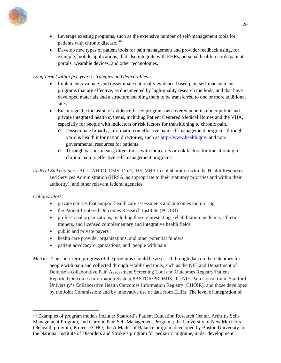

- Leverage existing programs, such as the extensive number of self-management tools for patients with chronic disease.<sup>[xiii](#page-26-0)</sup>
- Develop new types of patient tools for pain management and provider feedback using, for example, mobile applications, that also integrate with EHRs, personal health records/patient portals, wearable devices, and other technologies.

## *Long-term (within five years) strategies and deliverables:*

- Implement, evaluate, and disseminate nationally evidence-based pain self-management programs that are effective, as documented by high-quality research methods, and that have developed materials and a structure enabling them to be transferred to one or more additional sites.
- Encourage the inclusion of evidence-based programs as covered benefits under public and private integrated health systems, including Patient Centered Medical Homes and the VHA, especially for people with indicators or risk factors for transitioning to chronic pain.
	- o Disseminate broadly, information on effective pain self-management programs through various health information directories, such as<http://www.health.gov/> and nongovernmental resources for patients.
	- o Through various means, direct those with indicators or risk factors for transitioning to chronic pain to effective self-management programs.

*Federal Stakeholders:* ACL, AHRQ, CMS, DoD, IHS, VHA in collaboration with the Health Resources and Services Administration (HRSA, as appropriate to their statutory priorities and within their authority), and other relevant federal agencies

#### *Collaborators:*

 $\overline{a}$ 

- private entities that support health care assessments and outcomes monitoring
- the Patient-Centered Outcomes Research Institute (PCORI)
- professional organizations, including those representing rehabilitation medicine, athletic trainers, and licensed complementary and integrative health fields
- public and private payers
- health care provider organizations, and other potential funders
- patient advocacy organizations, and people with pain

*Metrics:* The short-term progress of the programs should be assessed through data on the outcomes for people with pain and collected through established tools, such as the NIH and Department of Defense's collaborative Pain Assessment Screening Tool and Outcomes Registry/Patient Reported Outcomes Information System PASTOR/PROMIS, the NIH Pain Consortium, Stanford University's Collaborative Health Outcomes Information Registry (CHOIR), and those developed by the Joint Commission; and by innovative use of data from EHRs. The level of integration of

<span id="page-26-0"></span>xiii Examples of program models include: Stanford's Patient Education Research Center, Arthritis Self-Management Program, and Chronic Pain Self-Management Program ; the University of New Mexico's telehealth program, Project ECHO; the A Matter of Balance program developed by Boston University; or the National Institute of Disorders and Stroke's program for pediatric migraine, under development.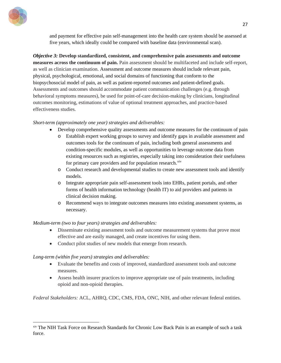

and payment for effective pain self-management into the health care system should be assessed at five years, which ideally could be compared with baseline data (environmental scan).

*Objective 3:* **Develop standardized, consistent, and comprehensive pain assessments and outcome measures across the continuum of pain.** Pain assessment should be multifaceted and include self-report, as well as clinician examination. Assessment and outcome measures should include relevant pain, physical, psychological, emotional, and social domains of functioning that conform to the biopsychosocial model of pain, as well as patient-reported outcomes and patient-defined goals. Assessments and outcomes should accommodate patient communication challenges (e.g. through behavioral symptoms measures), be used for point-of-care decision-making by clinicians, longitudinal outcomes monitoring, estimations of value of optional treatment approaches, and practice-based effectiveness studies.

## *Short-term (approximately one year) strategies and deliverables:*

- Develop comprehensive quality assessments and outcome measures for the continuum of pain
	- o Establish expert working groups to survey and identify gaps in available assessment and outcomes tools for the continuum of pain, including both general assessments and condition-specific modules, as well as opportunities to leverage outcome data from existing resources such as registries, especially taking into consideration their usefulness for primary care providers and for population research.<sup>[xiv](#page-27-0)</sup>
	- o Conduct research and developmental studies to create new assessment tools and identify models.
	- o Integrate appropriate pain self-assessment tools into EHRs, patient portals, and other forms of health information technology (health IT) to aid providers and patients in clinical decision making.
	- o Recommend ways to integrate outcomes measures into existing assessment systems, as necessary.

## *Medium-term (two to four years) strategies and deliverables:*

- Disseminate existing assessment tools and outcome measurement systems that prove most effective and are easily managed, and create incentives for using them.
- Conduct pilot studies of new models that emerge from research.

## *Long-term (within five years) strategies and deliverables:*

 $\overline{a}$ 

- Evaluate the benefits and costs of improved, standardized assessment tools and outcome measures.
- Assess health insurer practices to improve appropriate use of pain treatments, including opioid and non-opioid therapies.

*Federal Stakeholders:* ACL, AHRQ, CDC, CMS, FDA, ONC, NIH, and other relevant federal entities.

<span id="page-27-0"></span>xiv The NIH Task Force on Research Standards for Chronic Low Back Pain is an example of such a task force.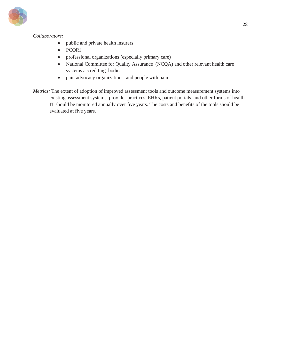

## *Collaborators:*

- public and private health insurers
- PCORI
- professional organizations (especially primary care)
- National Committee for Quality Assurance (NCQA) and other relevant health care systems accrediting bodies
- pain advocacy organizations, and people with pain
- *Metrics:* The extent of adoption of improved assessment tools and outcome measurement systems into existing assessment systems, provider practices, EHRs, patient portals, and other forms of health IT should be monitored annually over five years. The costs and benefits of the tools should be evaluated at five years.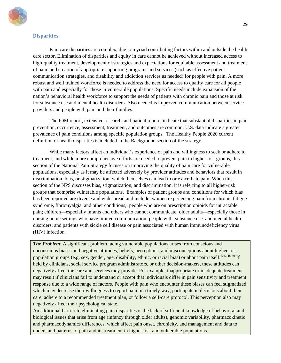

#### <span id="page-29-0"></span>**Disparities**

Pain care disparities are complex, due to myriad contributing factors within and outside the health care sector. Elimination of disparities and equity in care cannot be achieved without increased access to high-quality treatment, development of strategies and expectations for equitable assessment and treatment of pain, and creation of appropriate supporting programs and services (such as effective patient communication strategies, and disability and addiction services as needed) for people with pain. A more robust and well trained workforce is needed to address the need for access to quality care for all people with pain and especially for those in vulnerable populations. Specific needs include expansion of the nation's behavioral health workforce to support the needs of patients with chronic pain and those at risk for substance use and mental health disorders. Also needed is improved communication between service providers and people with pain and their families.

The IOM report, extensive research, and patient reports indicate that substantial disparities in pain prevention, occurrence, assessment, treatment, and outcomes are common; U.S. data indicate a greater prevalence of pain conditions among specific population groups. The Healthy People 2020 current definition of health disparities is included in the Background section of the strategy.

While many factors affect an individual's experience of pain and willingness to seek or adhere to treatment, and while more comprehensive efforts are needed to prevent pain in higher risk groups, this section of the National Pain Strategy focuses on improving the quality of pain care for vulnerable populations, especially as it may be affected adversely by provider attitudes and behaviors that result in discrimination, bias, or stigmatization, which themselves can lead to or exacerbate pain. When this section of the NPS discusses bias, stigmatization, and discrimination, it is referring to all higher-risk groups that comprise vulnerable populations. Examples of patient groups and conditions for which bias has been reported are diverse and widespread and include: women experiencing pain from chronic fatigue syndrome, fibromyalgia, and other conditions; people who are on prescription opioids for intractable pain; children—especially infants and others who cannot communicate; older adults—especially those in nursing home settings who have limited communication; people with substance use and mental health disorders; and patients with sickle cell disease or pain associated with human immunodeficiency virus (HIV) infection.

*The Problem:* A significant problem facing vulnerable populations arises from conscious and unconscious biases and negative attitudes, beliefs, perceptions, and misconceptions about higher-risk population groups (e.g. sex, gender, age, disability, ethnic, or racial bias) or about pain itself.<sup>6[,47,](#page-83-35)[48,](#page-83-36)[49](#page-83-37)</sup> If held by clinicians, social service program administrators, or other decision-makers, these attitudes can negatively affect the care and services they provide. For example, inappropriate or inadequate treatment may result if clinicians fail to understand or accept that individuals differ in pain sensitivity and treatment response due to a wide range of factors. People with pain who encounter these biases can feel stigmatized, which may decrease their willingness to report pain in a timely way, participate in decisions about their care, adhere to a recommended treatment plan, or follow a self-care protocol. This perception also may negatively affect their psychological state.

An additional barrier to eliminating pain disparities is the lack of sufficient knowledge of behavioral and biological issues that arise from age (infancy through older adults), genomic variability, pharmacokinetic and pharmacodynamics differences, which affect pain onset, chronicity, and management and data to understand patterns of pain and its treatment in higher risk and vulnerable populations.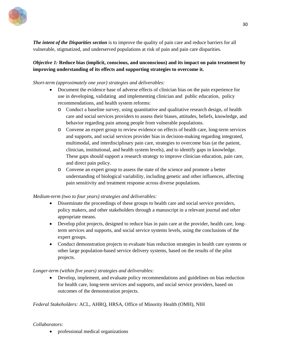

*The intent of the Disparities section* is to improve the quality of pain care and reduce barriers for all vulnerable, stigmatized, and underserved populations at risk of pain and pain care disparities.

## *Objective 1:* **Reduce bias (implicit, conscious, and unconscious) and its impact on pain treatment by improving understanding of its effects and supporting strategies to overcome it.**

#### *Short-term (approximately one year) strategies and deliverables:*

- Document the evidence base of adverse effects of clinician bias on the pain experience for use in developing, validating and implementing clinician and public education, policy recommendations, and health system reforms:
	- o Conduct a baseline survey, using quantitative and qualitative research design, of health care and social services providers to assess their biases, attitudes, beliefs, knowledge, and behavior regarding pain among people from vulnerable populations.
	- o Convene an expert group to review evidence on effects of health care, long-term services and supports, and social services provider bias in decision-making regarding integrated, multimodal, and interdisciplinary pain care, strategies to overcome bias (at the patient, clinician, institutional, and health system levels), and to identify gaps in knowledge. These gaps should support a research strategy to improve clinician education, pain care, and direct pain policy.
	- o Convene an expert group to assess the state of the science and promote a better understanding of biological variability, including genetic and other influences, affecting pain sensitivity and treatment response across diverse populations.

#### *Medium-term (two to four years) strategies and deliverables:*

- Disseminate the proceedings of these groups to health care and social service providers, policy makers, and other stakeholders through a manuscript in a relevant journal and other appropriate means.
- Develop pilot projects, designed to reduce bias in pain care at the provider, health care, longterm services and supports, and social service systems levels, using the conclusions of the expert groups.
- Conduct demonstration projects to evaluate bias reduction strategies in health care systems or other large population-based service delivery systems, based on the results of the pilot projects.

## *Longer-term (within five years) strategies and deliverables:*

• Develop, implement, and evaluate policy recommendations and guidelines on bias reduction for health care, long-term services and supports, and social service providers, based on outcomes of the demonstration projects.

## *Federal Stakeholders:* ACL, AHRQ, HRSA, Office of Minority Health (OMH), NIH

#### *Collaborators:*

• professional medical organizations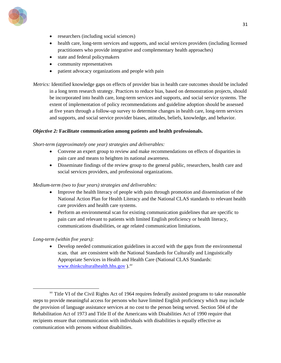

- researchers (including social sciences)
- health care, long-term services and supports, and social services providers (including licensed practitioners who provide integrative and complementary health approaches)
- state and federal policymakers
- community representatives
- patient advocacy organizations and people with pain

*Metrics:* Identified knowledge gaps on effects of provider bias in health care outcomes should be included in a long term research strategy. Practices to reduce bias, based on demonstration projects, should be incorporated into health care, long-term services and supports, and social service systems. The extent of implementation of policy recommendations and guideline adoption should be assessed at five years through a follow-up survey to determine changes in health care, long-term services and supports, and social service provider biases, attitudes, beliefs, knowledge, and behavior.

## *Objective 2:* **Facilitate communication among patients and health professionals.**

#### *Short-term (approximately one year) strategies and deliverables:*

- Convene an expert group to review and make recommendations on effects of disparities in pain care and means to heighten its national awareness.
- Disseminate findings of the review group to the general public, researchers, health care and social services providers, and professional organizations.

#### *Medium-term (two to four years) strategies and deliverables:*

- Improve the health literacy of people with pain through promotion and dissemination of the National Action Plan for Health Literacy and the National CLAS standards to relevant health care providers and health care systems.
- Perform an environmental scan for existing communication guidelines that are specific to pain care and relevant to patients with limited English proficiency or health literacy, communications disabilities, or age related communication limitations.

## *Long-term (within five years):*

• Develop needed communication guidelines in accord with the gaps from the environmental scan, that are consistent with the National Standards for Culturally and Linguistically Appropriate Services in Health and Health Care (National CLAS Standards: [www.thinkculturalhealth.hhs.gov](http://www.thinkculturalhealth.hhs.gov/) ).*[xv](#page-31-0)*

<span id="page-31-0"></span>xv Title VI of the Civil Rights Act of 1964 requires federally assisted programs to take reasonable steps to provide meaningful access for persons who have limited English proficiency which may include the provision of language assistance services at no cost to the person being served. Section 504 of the Rehabilitation Act of 1973 and Title II of the Americans with Disabilities Act of 1990 require that recipients ensure that communication with individuals with disabilities is equally effective as communication with persons without disabilities.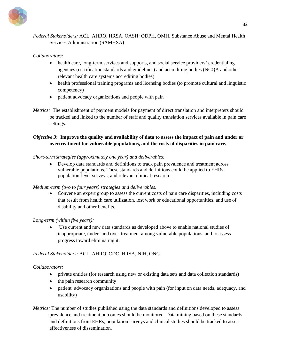

# *Federal Stakeholders:* ACL, AHRQ, HRSA, OASH: ODPH, OMH, Substance Abuse and Mental Health Services Administration (SAMHSA)

## *Collaborators:*

- health care, long-term services and supports, and social service providers' credentialing agencies (certification standards and guidelines) and accrediting bodies (NCQA and other relevant health care systems accrediting bodies)
- health professional training programs and licensing bodies (to promote cultural and linguistic competency)
- patient advocacy organizations and people with pain
- *Metrics:* The establishment of payment models for payment of direct translation and interpreters should be tracked and linked to the number of staff and quality translation services available in pain care settings.

# *Objective 3***: Improve the quality and availability of data to assess the impact of pain and under or overtreatment for vulnerable populations, and the costs of disparities in pain care.**

## *Short-term strategies (approximately one year) and deliverables:*

• Develop data standards and definitions to track pain prevalence and treatment across vulnerable populations. These standards and definitions could be applied to EHRs, population-level surveys, and relevant clinical research

## *Medium-term (two to four years) strategies and deliverables:*

• Convene an expert group to assess the current costs of pain care disparities, including costs that result from health care utilization, lost work or educational opportunities, and use of disability and other benefits.

#### *Long-term (within five years):*

Use current and new data standards as developed above to enable national studies of inappropriate, under- and over-treatment among vulnerable populations, and to assess progress toward eliminating it.

## *Federal Stakeholders:* ACL, AHRQ, CDC, HRSA, NIH, ONC

## *Collaborators:*

- private entities (for research using new or existing data sets and data collection standards)
- the pain research community
- patient advocacy organizations and people with pain (for input on data needs, adequacy, and usability)
- *Metrics:* The number of studies published using the data standards and definitions developed to assess prevalence and treatment outcomes should be monitored. Data mining based on these standards and definitions from EHRs, population surveys and clinical studies should be tracked to assess effectiveness of dissemination.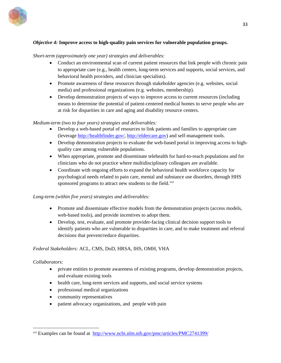

## *Objective 4:* **Improve access to high-quality pain services for vulnerable population groups.**

#### *Short-term (approximately one year) strategies and deliverables:*

- Conduct an environmental scan of current patient resources that link people with chronic pain to appropriate care (e.g., health centers, long-term services and supports, social services, and behavioral health providers, and clinician specialists).
- Promote awareness of these resources through stakeholder agencies (e.g. websites, social media) and professional organizations (e.g. websites, membership).
- Develop demonstration projects of ways to improve access to current resources (including means to determine the potential of patient-centered medical homes to serve people who are at risk for disparities in care and aging and disability resource centers.

#### *Medium-term (two to four years) strategies and deliverables:*

- Develop a web-based portal of resources to link patients and families to appropriate care (leverage [http://healthfinder.gov/,](http://healthfinder.gov/) [http://eldercare.gov\)](http://eldercare.gov/) and self-management tools.
- Develop demonstration projects to evaluate the web-based portal in improving access to highquality care among vulnerable populations.
- When appropriate, promote and disseminate telehealth for hard-to-reach populations and for clinicians who do not practice where multidisciplinary colleagues are available.
- Coordinate with ongoing efforts to expand the behavioral health workforce capacity for psychological needs related to pain care, mental and substance use disorders, through HHS sponsored programs to attract new students to the field.<sup>[xvi](#page-33-0)</sup>

#### *Long-term (within five years) strategies and deliverables:*

- Promote and disseminate effective models from the demonstration projects (access models, web-based tools), and provide incentives to adopt them.
- Develop, test, evaluate, and promote provider-facing clinical decision support tools to identify patients who are vulnerable to disparities in care, and to make treatment and referral decisions that prevent/reduce disparities.

#### *Federal Stakeholders:* ACL, CMS, DoD, HRSA, IHS, OMH, VHA

#### *Collaborators:*

 $\overline{a}$ 

- private entities to promote awareness of existing programs, develop demonstration projects, and evaluate existing tools
- health care, long-term services and supports, and social service systems
- professional medical organizations
- community representatives
- patient advocacy organizations, and people with pain

<span id="page-33-0"></span>xvi Examples can be found at <http://www.ncbi.nlm.nih.gov/pmc/articles/PMC2741399/>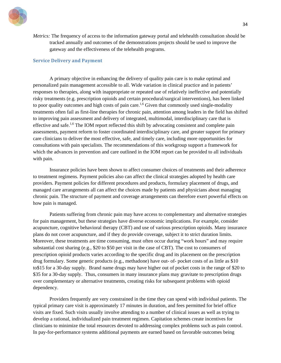

*Metrics:* The frequency of access to the information gateway portal and telehealth consultation should be tracked annually and outcomes of the demonstrations projects should be used to improve the gateway and the effectiveness of the telehealth programs.

#### <span id="page-34-0"></span>**Service Delivery and Payment**

A primary objective in enhancing the delivery of quality pain care is to make optimal and personalized pain management accessible to all. Wide variation in clinical practice and in patients' responses to therapies, along with inappropriate or repeated use of relatively ineffective and potentially risky treatments (e.g. prescription opioids and certain procedural/surgical interventions), has been linked to poor quality outcomes and high costs of pain care.<sup>1,6</sup> Given that commonly used single-modality treatments often fail as first-line therapies for chronic pain, attention among leaders in the field has shifted to improving pain assessment and delivery of integrated, multimodal, interdisciplinary care that is effective and safe.<sup>1,6</sup> The IOM report reflected this shift by advocating consistent and complete pain assessments, payment reform to foster coordinated interdisciplinary care, and greater support for primary care clinicians to deliver the most effective, safe, and timely care, including more opportunities for consultations with pain specialists. The recommendations of this workgroup support a framework for which the advances in prevention and care outlined in the IOM report can be provided to all individuals with pain.

Insurance policies have been shown to affect consumer choices of treatments and their adherence to treatment regimens. Payment policies also can affect the clinical strategies adopted by health care providers. Payment policies for different procedures and products, formulary placement of drugs, and managed care arrangements all can affect the choices made by patients and physicians about managing chronic pain. The structure of payment and coverage arrangements can therefore exert powerful effects on how pain is managed.

Patients suffering from chronic pain may have access to complementary and alternative strategies for pain management, but these strategies have diverse economic implications. For example, consider acupuncture, cognitive behavioral therapy (CBT) and use of various prescription opioids. Many insurance plans do not cover acupuncture, and if they do provide coverage, subject it to strict duration limits. Moreover, these treatments are time consuming, must often occur during "work hours" and may require substantial cost sharing (e.g., \$20 to \$50 per visit in the case of CBT). The cost to consumers of prescription opioid products varies according to the specific drug and its placement on the prescription drug formulary. Some generic products (e.g., methadone) have out- of- pocket costs of as little as \$10 to\$15 for a 30-day supply. Brand name drugs may have higher out of pocket costs in the range of \$20 to \$35 for a 30-day supply. Thus, consumers in many insurance plans may gravitate to prescription drugs over complementary or alternative treatments, creating risks for subsequent problems with opioid dependency.

Providers frequently are very constrained in the time they can spend with individual patients. The typical primary care visit is approximately 17 minutes in duration, and fees permitted for brief office visits are fixed. Such visits usually involve attending to a number of clinical issues as well as trying to develop a rational, individualized pain treatment regimen. Capitation schemes create incentives for clinicians to minimize the total resources devoted to addressing complex problems such as pain control. In pay-for-performance systems additional payments are earned based on favorable outcomes being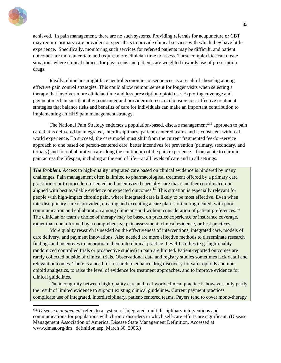

 $\overline{a}$ 

achieved. In pain management, there are no such systems. Providing referrals for acupuncture or CBT may require primary care providers or specialists to provide clinical services with which they have little experience. Specifically, monitoring such services for referred patients may be difficult, and patient outcomes are more uncertain and require more clinician time to assess. These complexities can create situations where clinical choices for physicians and patients are weighted towards use of prescription drugs.

Ideally, clinicians might face neutral economic consequences as a result of choosing among effective pain control strategies. This could allow reimbursement for longer visits when selecting a therapy that involves more clinician time and less prescription opioid use. Exploring coverage and payment mechanisms that align consumer and provider interests in choosing cost-effective treatment strategies that balance risks and benefits of care for individuals can make an important contribution to implementing an HHS pain management strategy.

The National Pain Strategy endorses a population-based, disease management<sup>[xvii](#page-35-0)</sup> approach to pain care that is delivered by integrated, interdisciplinary, patient-centered teams and is consistent with realworld experience. To succeed, the care model must shift from the current fragmented fee-for-service approach to one based on person-centered care, better incentives for prevention (primary, secondary, and tertiary) and for collaborative care along the continuum of the pain experience—from acute to chronic pain across the lifespan, including at the end of life—at all levels of care and in all settings.

*The Problem.* Access to high-quality integrated care based on clinical evidence is hindered by many challenges. Pain management often is limited to pharmacological treatment offered by a primary care practitioner or to procedure-oriented and incentivized specialty care that is neither coordinated nor aligned with best available evidence or expected outcomes.<sup>1,7</sup> This situation is especially relevant for people with high-impact chronic pain, where integrated care is likely to be most effective. Even when interdisciplinary care is provided, creating and executing a care plan is often fragmented, with poor communication and collaboration among clinicians and without consideration of patient preferences.<sup>1,7</sup> The clinician or team's choice of therapy may be based on practice experience or insurance coverage, rather than one informed by a comprehensive pain assessment, clinical evidence, or best practices.

More quality research is needed on the effectiveness of interventions, integrated care, models of care delivery, and payment innovations. Also needed are more effective methods to disseminate research findings and incentives to incorporate them into clinical practice. Level-I studies (e.g. high-quality randomized controlled trials or prospective studies) in pain are limited. Patient-reported outcomes are rarely collected outside of clinical trials. Observational data and registry studies sometimes lack detail and relevant outcomes. There is a need for research to enhance drug discovery for safer opioids and nonopioid analgesics, to raise the level of evidence for treatment approaches, and to improve evidence for clinical guidelines.

The incongruity between high-quality care and real-world clinical practice is however, only partly the result of limited evidence to support existing clinical guidelines. Current payment practices complicate use of integrated, interdisciplinary, patient-centered teams. Payers tend to cover mono-therapy

<span id="page-35-0"></span>xvii *Disease management* refers to a system of integrated, multidisciplinary interventions and communications for populations with chronic disorders in which self-care efforts are significant. (Disease Management Association of America. Disease State Management Definition. Accessed at www.dmaa.org/dm\_ definition.asp, March 30, 2006.)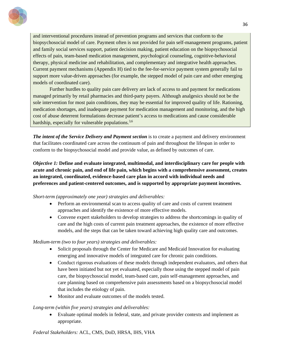

and interventional procedures instead of prevention programs and services that conform to the biopsychosocial model of care. Payment often is not provided for pain self-management programs, patient and family social services support, patient decision making, patient education on the biopsychosocial effects of pain, team-based medication management, psychological counseling, cognitive-behavioral therapy, physical medicine and rehabilitation, and complementary and integrative health approaches. Current payment mechanisms (Appendix H) tied to the fee-for-service payment system generally fail to support more value-driven approaches (for example, the stepped model of pain care and other emerging models of coordinated care).

Further hurdles to quality pain care delivery are lack of access to and payment for medications managed primarily by retail pharmacies and third-party payers. Although analgesics should not be the sole intervention for most pain conditions, they may be essential for improved quality of life. Rationing, medication shortages, and inadequate payment for medication management and monitoring, and the high cost of abuse deterrent formulations decrease patient's access to medications and cause considerable hardship, especially for vulnerable populations.<sup>3,6</sup>

*The intent of the Service Delivery and Payment section* is to create a payment and delivery environment that facilitates coordinated care across the continuum of pain and throughout the lifespan in order to conform to the biopsychosocial model and provide value, as defined by outcomes of care.

*Objective 1:* **Define and evaluate integrated, multimodal, and interdisciplinary care for people with acute and chronic pain, and end of life pain, which begins with a comprehensive assessment, creates an integrated, coordinated, evidence-based care plan in accord with individual needs and preferences and patient-centered outcomes, and is supported by appropriate payment incentives.**

#### *Short-term (approximately one year) strategies and deliverables:*

- Perform an environmental scan to access quality of care and costs of current treatment approaches and identify the existence of more effective models.
- Convene expert stakeholders to develop strategies to address the shortcomings in quality of care and the high costs of current pain treatment approaches, the existence of more effective models, and the steps that can be taken toward achieving high quality care and outcomes.

## *Medium-term (two to four years) strategies and deliverables:*

- Solicit proposals through the Center for Medicare and Medicaid Innovation for evaluating emerging and innovative models of integrated care for chronic pain conditions.
- Conduct rigorous evaluations of these models through independent evaluators, and others that have been initiated but not yet evaluated, especially those using the stepped model of pain care, the biopsychosocial model, team-based care, pain self-management approaches, and care planning based on comprehensive pain assessments based on a biopsychosocial model that includes the etiology of pain.
- Monitor and evaluate outcomes of the models tested.

## *Long-term (within five years) strategies and deliverables:*

• Evaluate optimal models in federal, state, and private provider contexts and implement as appropriate.

## *Federal Stakeholders:* ACL, CMS, DoD, HRSA, IHS, VHA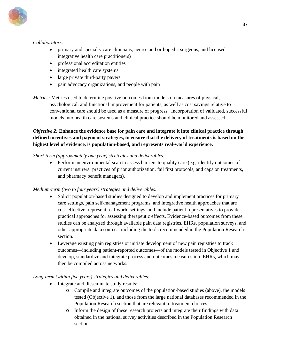

## *Collaborators:*

- primary and specialty care clinicians, neuro- and orthopedic surgeons, and licensed integrative health care practitioners)
- professional accreditation entities
- integrated health care systems
- large private third-party payers
- pain advocacy organizations, and people with pain

*Metrics:* Metrics used to determine positive outcomes from models on measures of physical,

psychological, and functional improvement for patients, as well as cost savings relative to conventional care should be used as a measure of progress. Incorporation of validated, successful models into health care systems and clinical practice should be monitored and assessed.

## *Objective 2:* **Enhance the evidence base for pain care and integrate it into clinical practice through defined incentives and payment strategies, to ensure that the delivery of treatments is based on the highest level of evidence, is population-based, and represents real-world experience.**

## *Short-term (approximately one year) strategies and deliverables:*

• Perform an environmental scan to assess barriers to quality care (e.g. identify outcomes of current insurers' practices of prior authorization, fail first protocols, and caps on treatments, and pharmacy benefit managers).

## *Medium-term (two to four years) strategies and deliverables:*

- Solicit population-based studies designed to develop and implement practices for primary care settings, pain self-management programs, and integrative health approaches that are cost-effective, represent real-world settings, and include patient representatives to provide practical approaches for assessing therapeutic effects. Evidence-based outcomes from these studies can be analyzed through available pain data registries, EHRs, population surveys, and other appropriate data sources, including the tools recommended in the Population Research section.
- Leverage existing pain registries or initiate development of new pain registries to track outcomes—including patient-reported outcomes—of the models tested in Objective 1 and develop, standardize and integrate process and outcomes measures into EHRs, which may then be compiled across networks.

## *Long-term (within five years) strategies and deliverables:*

- Integrate and disseminate study results:
	- o Compile and integrate outcomes of the population-based studies (above), the models tested (Objective 1), and those from the large national databases recommended in the Population Research section that are relevant to treatment choices.
	- o Inform the design of these research projects and integrate their findings with data obtained in the national survey activities described in the Population Research section.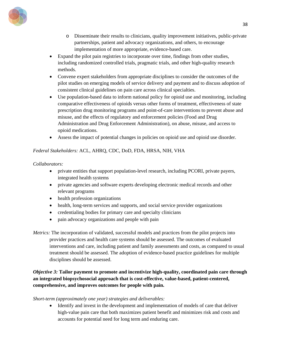

- o Disseminate their results to clinicians, quality improvement initiatives, public-private partnerships, patient and advocacy organizations, and others, to encourage implementation of more appropriate, evidence-based care.
- Expand the pilot pain registries to incorporate over time, findings from other studies, including randomized controlled trials, pragmatic trials, and other high-quality research methods.
- Convene expert stakeholders from appropriate disciplines to consider the outcomes of the pilot studies on emerging models of service delivery and payment and to discuss adoption of consistent clinical guidelines on pain care across clinical specialties.
- Use population-based data to inform national policy for opioid use and monitoring, including comparative effectiveness of opioids versus other forms of treatment, effectiveness of state prescription drug monitoring programs and point-of-care interventions to prevent abuse and misuse, and the effects of regulatory and enforcement policies (Food and Drug Administration and Drug Enforcement Administration), on abuse, misuse, and access to opioid medications.
- Assess the impact of potential changes in policies on opioid use and opioid use disorder.

## *Federal Stakeholders:* ACL, AHRQ, CDC, DoD, FDA, HRSA, NIH, VHA

## *Collaborators:*

- private entities that support population-level research, including PCORI, private payers, integrated health systems
- private agencies and software experts developing electronic medical records and other relevant programs
- health profession organizations
- health, long-term services and supports, and social service provider organizations
- credentialing bodies for primary care and specialty clinicians
- pain advocacy organizations and people with pain
- *Metrics:* The incorporation of validated, successful models and practices from the pilot projects into provider practices and health care systems should be assessed. The outcomes of evaluated interventions and care, including patient and family assessments and costs, as compared to usual treatment should be assessed. The adoption of evidence-based practice guidelines for multiple disciplines should be assessed.

## *Objective 3:* **Tailor payment to promote and incentivize high-quality, coordinated pain care through an integrated biopsychosocial approach that is cost-effective, value-based, patient-centered, comprehensive, and improves outcomes for people with pain.**

*Short-term (approximately one year) strategies and deliverables:*

• Identify and invest in the development and implementation of models of care that deliver high-value pain care that both maximizes patient benefit and minimizes risk and costs and accounts for potential need for long term and enduring care.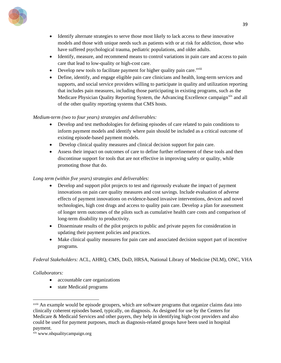

- Identify alternate strategies to serve those most likely to lack access to these innovative models and those with unique needs such as patients with or at risk for addiction, those who have suffered psychological trauma, pediatric populations, and older adults.
- Identify, measure, and recommend means to control variations in pain care and access to pain care that lead to low-quality or high-cost care.
- Develop new tools to fac[i](#page-39-0)litate payment for higher quality pain care.<sup>xviii</sup>
- Define, identify, and engage eligible pain care clinicians and health, long-term services and supports, and social service providers willing to participate in quality and utilization reporting that includes pain measures, including those participating in existing programs, such as the Medicare Physician Quality Reporting System, the Advancing Excellence campaign<sup>[xix](#page-39-1)</sup> and all of the other quality reporting systems that CMS hosts.

## *Medium-term (two to four years) strategies and deliverables:*

- Develop and test methodologies for defining episodes of care related to pain conditions to inform payment models and identify where pain should be included as a critical outcome of existing episode-based payment models.
- Develop clinical quality measures and clinical decision support for pain care.
- Assess their impact on outcomes of care to define further refinement of these tools and then discontinue support for tools that are not effective in improving safety or quality, while promoting those that do.

### *Long term (within five years) strategies and deliverables:*

- Develop and support pilot projects to test and rigorously evaluate the impact of payment innovations on pain care quality measures and cost savings. Include evaluation of adverse effects of payment innovations on evidence-based invasive interventions, devices and novel technologies, high cost drugs and access to quality pain care. Develop a plan for assessment of longer term outcomes of the pilots such as cumulative health care costs and comparison of long-term disability to productivity.
- Disseminate results of the pilot projects to public and private payers for consideration in updating their payment policies and practices.
- Make clinical quality measures for pain care and associated decision support part of incentive programs*.*

## *Federal Stakeholders:* ACL, AHRQ, CMS, DoD, HRSA, National Library of Medicine (NLM), ONC, VHA

#### *Collaborators:*

- accountable care organizations
- state Medicaid programs

<span id="page-39-0"></span>xviii An example would be episode groupers, which are software programs that organize claims data into clinically coherent episodes based, typically, on diagnosis. As designed for use by the Centers for Medicare & Medicaid Services and other payers, they help in identifying high-cost providers and also could be used for payment purposes, much as diagnosis-related groups have been used in hospital payment.<br>xix www.nhqualitycampaign.org

<span id="page-39-1"></span>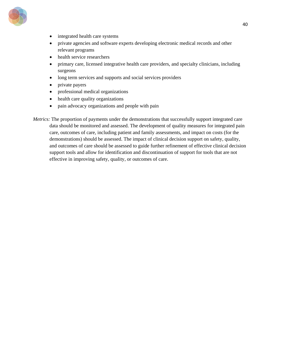

- integrated health care systems
- private agencies and software experts developing electronic medical records and other relevant programs
- health service researchers
- primary care, licensed integrative health care providers, and specialty clinicians, including surgeons
- long term services and supports and social services providers
- private payers
- professional medical organizations
- health care quality organizations
- pain advocacy organizations and people with pain

*Metrics:* The proportion of payments under the demonstrations that successfully support integrated care data should be monitored and assessed. The development of quality measures for integrated pain care, outcomes of care, including patient and family assessments, and impact on costs (for the demonstrations) should be assessed. The impact of clinical decision support on safety, quality, and outcomes of care should be assessed to guide further refinement of effective clinical decision support tools and allow for identification and discontinuation of support for tools that are not effective in improving safety, quality, or outcomes of care.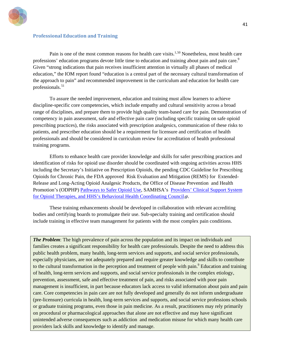

#### **Professional Education and Training**

Pain is one of the most common reasons for health care visits.<sup>1,[50](#page-83-0)</sup> Nonetheless, most health care professions' education programs devote little time to education and training about pain and pain care.<sup>9</sup> Given "strong indications that pain receives insufficient attention in virtually all phases of medical education," the IOM report found "education is a central part of the necessary cultural transformation of the approach to pain" and recommended improvement in the curriculum and education for health care professionals. [51](#page-83-1)

To assure the needed improvement, education and training must allow learners to achieve discipline-specific core competencies, which include empathy and cultural sensitivity across a broad range of disciplines, and prepare them to provide high quality team-based care for pain. Demonstration of competency in pain assessment, safe and effective pain care (including specific training on safe opioid prescribing practices), the risks associated with prescription analgesics, communication of these risks to patients, and prescriber education should be a requirement for licensure and certification of health professionals and should be considered in curriculum review for accreditation of health professional training programs.

Efforts to enhance health care provider knowledge and skills for safer prescribing practices and identification of risks for opioid use disorder should be coordinated with ongoing activities across HHS including the Secretary's Initiative on Prescription Opioids, the pending CDC Guideline for Prescribing Opioids for Chronic Pain, the FDA approved Risk Evaluation and Mitigation (REMS) for Extended-Release and Long-Acting Opioid Analgesic Products, the Office of Disease Prevention and Health Promotion's (ODPHP) [Pathways to Safer Opioid Use,](http://health.gov/hcq/trainings/pathways/index.html) SAMHSA's Providers' [Clinical Support System](http://www.pcss-o.org/) [for Opioid Therapies,](http://www.pcss-o.org/)and HHS's Behavioral Health Coordinating Council ...

These training enhancements should be developed in collaboration with relevant accrediting bodies and certifying boards to promulgate their use. Sub-specialty training and certification should include training in effective team management for patients with the most complex pain conditions.

*The Problem*: The high prevalence of pain across the population and its impact on individuals and families creates a significant responsibility for health care professionals. Despite the need to address this public health problem, many health, long-term services and supports, and social service professionals, especially physicians, are not adequately prepared and require greater knowledge and skills to contribute to the cultural transformation in the perception and treatment of people with pain.<sup>9</sup> Education and training of health, long-term services and supports, and social service professionals in the complex etiology, prevention, assessment, safe and effective treatment of pain, and risks associated with poor pain management is insufficient, in part because educators lack access to valid information about pain and pain care. Core competencies in pain care are not fully developed and generally do not inform undergraduate (pre-licensure) curricula in health, long-term services and supports, and social service professions schools or graduate training programs, even those in pain medicine. As a result, practitioners may rely primarily on procedural or pharmacological approaches that alone are not effective and may have significant unintended adverse consequences such as addiction and medication misuse for which many health care providers lack skills and knowledge to identify and manage.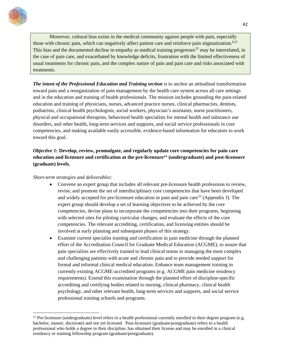

Moreover, cultural bias exists in the medical community against people with pain, especially those with chronic pain, which can negatively affect patient care and reinforce pain stigmatization.<sup>6,21</sup> This bias and the documented decline in empathy as medical training progresses<sup>[52](#page-83-2)</sup> may be interrelated, in the case of pain care, and exacerbated by knowledge deficits, frustration with the limited effectiveness of usual treatments for chronic pain, and the complex nature of pain and pain care and risks associated with treatments.

*The intent of the Professional Education and Training section* is to anchor an attitudinal transformation toward pain and a reorganization of pain management by the health care system across all care settings and in the education and training of health professionals. The mission includes grounding the pain-related education and training of physicians, nurses, advanced practice nurses, clinical pharmacists, dentists, podiatrists, clinical health psychologists, social workers, physician's assistants, nurse practitioners, physical and occupational therapists, behavioral health specialists for mental health and substance use disorders, and other health, long-term services and supports, and social service professionals in core competencies, and making available easily accessible, evidence-based information for educators to work toward this goal.

## *Objective 1:* **Develop, review, promulgate, and regularly update core competencies for pain care education and licensure and certification at the pre-licensure[xx](#page-42-0) (undergraduate) and post-licensure (graduate) levels.**

*Short-term strategies and deliverables:*

 $\overline{a}$ 

- Convene an expert group that includes all relevant pre-licensure health professions to review, revise, and promote the set of interdisciplinary core competencies that have been developed and widely accepted for pre-licensure education in pain and pain care<sup>[53](#page-83-3)</sup> (Appendix J). The expert group should develop a set of learning objectives to be achieved by the core competencies, devise plans to incorporate the competencies into their programs, beginning with selected sites for piloting curricular changes, and evaluate the effects of the core competencies. The relevant accrediting, certification, and licensing entities should be involved at early planning and subsequent phases of this strategy.
- Examine current specialist training and certification in pain medicine through the planned effort of the Accreditation Council for Graduate Medical Education (ACGME), to assure that pain specialists are effectively trained to lead clinical teams in managing the most complex and challenging patients with acute and chronic pain and to provide needed support for formal and informal clinical medical education. Enhance team management training in currently existing ACGME-accredited programs (e.g. ACGME pain medicine residency requirements). Extend this examination through the planned effort of discipline-specific accrediting and certifying bodies related to nursing, clinical pharmacy, clinical health psychology, and other relevant health, long-term services and supports, and social service professional training schools and programs.

<span id="page-42-0"></span><sup>&</sup>lt;sup>xx</sup> Pre-licensure (undergraduate) level refers to a health professional currently enrolled in their degree program (e.g. bachelor, master, doctorate) and not yet licensed. Post-licensure (graduate/postgraduate) refers to a health professional who holds a degree in their discipline, has obtained their license and may be enrolled in a clinical residency or training fellowship program (graduate/postgraduate).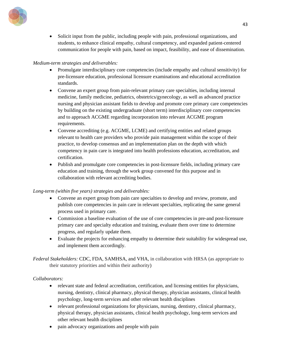

• Solicit input from the public, including people with pain, professional organizations, and students, to enhance clinical empathy, cultural competency, and expanded patient-centered communication for people with pain, based on impact, feasibility, and ease of dissemination.

### *Medium-term strategies and deliverables:*

- Promulgate interdisciplinary core competencies (include empathy and cultural sensitivity) for pre-licensure education, professional licensure examinations and educational accreditation standards.
- Convene an expert group from pain-relevant primary care specialties, including internal medicine, family medicine, pediatrics, obstetrics/gynecology, as well as advanced practice nursing and physician assistant fields to develop and promote core primary care competencies by building on the existing undergraduate (short term) interdisciplinary core competencies and to approach ACGME regarding incorporation into relevant ACGME program requirements.
- Convene accrediting (e.g. ACGME, LCME) and certifying entities and related groups relevant to health care providers who provide pain management within the scope of their practice, to develop consensus and an implementation plan on the depth with which competency in pain care is integrated into health professions education, accreditation, and certification.
- Publish and promulgate core competencies in post-licensure fields, including primary care education and training, through the work group convened for this purpose and in collaboration with relevant accrediting bodies.

## *Long-term (within five years) strategies and deliverables:*

- Convene an expert group from pain care specialties to develop and review, promote, and publish core competencies in pain care in relevant specialties, replicating the same general process used in primary care.
- Commission a baseline evaluation of the use of core competencies in pre-and post-licensure primary care and specialty education and training, evaluate them over time to determine progress, and regularly update them.
- Evaluate the projects for enhancing empathy to determine their suitability for widespread use, and implement them accordingly.

*Federal Stakeholders:* CDC, FDA, SAMHSA, and VHA, in collaboration with HRSA (as appropriate to their statutory priorities and within their authority)

#### *Collaborators:*

- relevant state and federal accreditation, certification, and licensing entities for physicians, nursing, dentistry, clinical pharmacy, physical therapy, physician assistants, clinical health psychology, long-term services and other relevant health disciplines
- relevant professional organizations for physicians, nursing, dentistry, clinical pharmacy, physical therapy, physician assistants, clinical health psychology, long-term services and other relevant health disciplines
- pain advocacy organizations and people with pain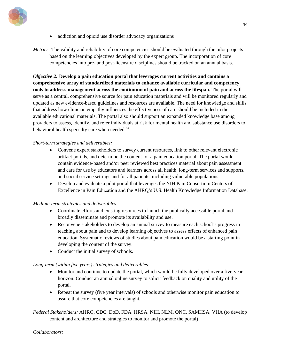

• addiction and opioid use disorder advocacy organizations

*Metrics:* The validity and reliability of core competencies should be evaluated through the pilot projects based on the learning objectives developed by the expert group. The incorporation of core competencies into pre- and post-licensure disciplines should be tracked on an annual basis.

*Objective 2:* **Develop a pain education portal that leverages current activities and contains a comprehensive array of standardized materials to enhance available curricular and competency tools to address management across the continuum of pain and across the lifespan.** The portal will serve as a central, comprehensive source for pain education materials and will be monitored regularly and updated as new evidence-based guidelines and resources are available. The need for knowledge and skills that address how clinician empathy influences the effectiveness of care should be included in the available educational materials. The portal also should support an expanded knowledge base among providers to assess, identify, and refer individuals at risk for mental health and substance use disorders to behavioral health specialty care when needed.<sup>[54](#page-83-4)</sup>

#### *Short-term strategies and deliverables:*

- Convene expert stakeholders to survey current resources, link to other relevant electronic artifact portals, and determine the content for a pain education portal. The portal would contain evidence-based and/or peer reviewed best practices material about pain assessment and care for use by educators and learners across all health, long-term services and supports, and social service settings and for all patients, including vulnerable populations.
- Develop and evaluate a pilot portal that leverages the NIH Pain Consortium Centers of Excellence in Pain Education and the AHRQ's U.S. Health Knowledge Information Database.

#### *Medium-term strategies and deliverables:*

- Coordinate efforts and existing resources to launch the publically accessible portal and broadly disseminate and promote its availability and use.
- Reconvene stakeholders to develop an annual survey to measure each school's progress in teaching about pain and to develop learning objectives to assess effects of enhanced pain education. Systematic reviews of studies about pain education would be a starting point in developing the content of the survey.
- Conduct the initial survey of schools.

#### *Long-term (within five years) strategies and deliverables:*

- Monitor and continue to update the portal, which would be fully developed over a five-year horizon. Conduct an annual online survey to solicit feedback on quality and utility of the portal.
- Repeat the survey (five year intervals) of schools and otherwise monitor pain education to assure that core competencies are taught.

*Federal Stakeholders:* AHRQ, CDC, DoD, FDA, HRSA, NIH, NLM, ONC, SAMHSA, VHA (to develop content and architecture and strategies to monitor and promote the portal)

#### *Collaborators:*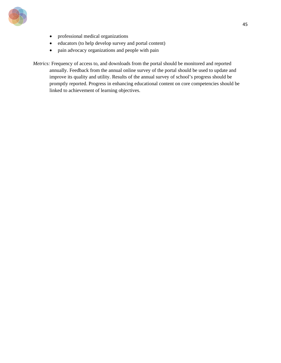

- professional medical organizations
- educators (to help develop survey and portal content)
- pain advocacy organizations and people with pain

*Metrics:* Frequency of access to, and downloads from the portal should be monitored and reported annually. Feedback from the annual online survey of the portal should be used to update and improve its quality and utility. Results of the annual survey of school's progress should be promptly reported. Progress in enhancing educational content on core competencies should be linked to achievement of learning objectives.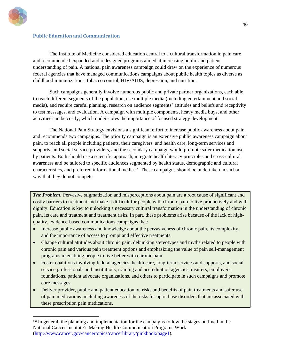

 $\ddot{\phantom{a}}$ 

#### **Public Education and Communication**

The Institute of Medicine considered education central to a cultural transformation in pain care and recommended expanded and redesigned programs aimed at increasing public and patient understanding of pain. A national pain awareness campaign could draw on the experience of numerous federal agencies that have managed communications campaigns about public health topics as diverse as childhood immunizations, tobacco control, HIV/AIDS, depression, and nutrition.

Such campaigns generally involve numerous public and private partner organizations, each able to reach different segments of the population, use multiple media (including entertainment and social media), and require careful planning, research on audience segments' attitudes and beliefs and receptivity to test messages, and evaluation. A campaign with multiple components, heavy media buys, and other activities can be costly, which underscores the importance of focused strategy development.

The National Pain Strategy envisions a significant effort to increase public awareness about pain and recommends two campaigns. The priority campaign is an extensive public awareness campaign about pain, to reach all people including patients, their caregivers, and health care, long-term services and supports, and social service providers, and the secondary campaign would promote safer medication use by patients. Both should use a scientific approach, integrate health literacy principles and cross-cultural awareness and be tailored to specific audiences segmented by health status, demographic and cultural characteristics, and preferred informational media.<sup>[xxi](#page-46-0)</sup> These campaigns should be undertaken in such a way that they do not compete.

*The Problem:* Pervasive stigmatization and misperceptions about pain are a root cause of significant and costly barriers to treatment and make it difficult for people with chronic pain to live productively and with dignity. Education is key to unlocking a necessary cultural transformation in the understanding of chronic pain, its care and treatment and treatment risks. In part, these problems arise because of the lack of highquality, evidence-based communications campaigns that:

- Increase public awareness and knowledge about the pervasiveness of chronic pain, its complexity, and the importance of access to prompt and effective treatments.
- Change cultural attitudes about chronic pain, debunking stereotypes and myths related to people with chronic pain and various pain treatment options and emphasizing the value of pain self-management programs in enabling people to live better with chronic pain.
- Foster coalitions involving federal agencies*,* health care, long-term services and supports, and social service professionals and institutions, training and accreditation agencies, insurers, employers, foundations, patient advocate organizations, and others to participate in such campaigns and promote core messages.
- Deliver provider, public and patient education on risks and benefits of pain treatments and safer use of pain medications, including awareness of the risks for opioid use disorders that are associated with these prescription pain medications.

<span id="page-46-0"></span><sup>&</sup>lt;sup>xxi</sup> In general, the planning and implementation for the campaigns follow the stages outlined in the National Cancer Institute's Making Health Communication Programs Work [\(http://www.cancer.gov/cancertopics/cancerlibrary/pinkbook/page1\)](http://www.cancer.gov/cancertopics/cancerlibrary/pinkbook/page1).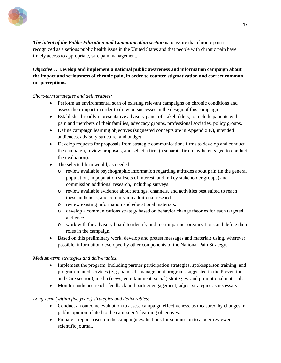

*The intent of the Public Education and Communication section is* to assure that chronic pain is recognized as a serious public health issue in the United States and that people with chronic pain have timely access to appropriate, safe pain management.

*Objective 1:* **Develop and implement a national public awareness and information campaign about the impact and seriousness of chronic pain, in order to counter stigmatization and correct common misperceptions.** 

#### *Short-term strategies and deliverables:*

- Perform an environmental scan of existing relevant campaigns on chronic conditions and assess their impact in order to draw on successes in the design of this campaign.
- Establish a broadly representative advisory panel of stakeholders, to include patients with pain and members of their families, advocacy groups, professional societies, policy groups.
- Define campaign learning objectives (suggested concepts are in Appendix K), intended audiences, advisory structure, and budget.
- Develop requests for proposals from strategic communications firms to develop and conduct the campaign, review proposals, and select a firm (a separate firm may be engaged to conduct the evaluation).
- The selected firm would, as needed:
	- o review available psychographic information regarding attitudes about pain (in the general population, in population subsets of interest, and in key stakeholder groups) and commission additional research, including surveys.
	- o review available evidence about settings, channels, and activities best suited to reach these audiences, and commission additional research.
	- o review existing information and educational materials.
	- o develop a communications strategy based on behavior change theories for each targeted audience.
	- o work with the advisory board to identify and recruit partner organizations and define their roles in the campaign.
- Based on this preliminary work, develop and pretest messages and materials using, wherever possible, information developed by other components of the National Pain Strategy.

#### *Medium-term strategies and deliverables:*

- Implement the program, including partner participation strategies, spokesperson training, and program-related services (e.g., pain self-management programs suggested in the Prevention and Care section), media (news, entertainment, social) strategies, and promotional materials.
- Monitor audience reach, feedback and partner engagement; adjust strategies as necessary.

#### *Long-term (within five years) strategies and deliverables:*

- Conduct an outcome evaluation to assess campaign effectiveness, as measured by changes in public opinion related to the campaign's learning objectives.
- Prepare a report based on the campaign evaluations for submission to a peer-reviewed scientific journal.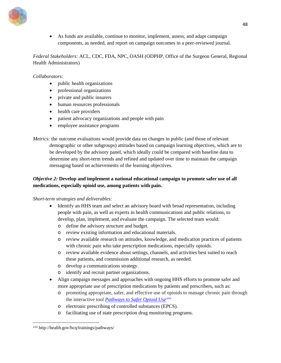

• As funds are available, continue to monitor, implement, assess, and adapt campaign components, as needed, and report on campaign outcomes in a peer-reviewed journal.

*Federal Stakeholders:* ACL, CDC, FDA, NPC, OASH (ODPHP, Office of the Surgeon General, Regional Health Administrators)

#### *Collaborators:*

- public health organizations
- professional organizations
- private and public insurers
- human resources professionals
- health care providers
- patient advocacy organizations and people with pain
- employee assistance programs

*Metrics:* the outcome evaluations would provide data on changes in public (and those of relevant demographic or other subgroups) attitudes based on campaign learning objectives, which are to be developed by the advisory panel, which ideally could be compared with baseline data to determine any short-term trends and refined and updated over time to maintain the campaign messaging based on achievements of the learning objectives.

## *Objective 2:* **Develop and implement a national educational campaign to promote safer use of all medications, especially opioid use, among patients with pain.**

#### *Short-term strategies and deliverables:*

- Identify an HHS team and select an advisory board with broad representation, including people with pain, as well as experts in health communications and public relations, to develop, plan, implement, and evaluate the campaign. The selected team would:
	- o define the advisory structure and budget.
	- o review existing information and educational materials.
	- o review available research on attitudes, knowledge, and medication practices of patients with chronic pain who take prescription medications, especially opioids.
	- o review available evidence about settings, channels, and activities best suited to reach these patients, and commission additional research, as needed.
	- o develop a communications strategy.
	- o identify and recruit partner organizations.
- Align campaign messages and approaches with ongoing HHS efforts to promote safer and more appropriate use of prescription medications by patients and prescribers, such as:
	- o promoting appropriate, safer, and effective use of opioids to manage chronic pain through the interactive tool *[Pathways to Safer Opioid Use](http://health.gov/hcq/trainings/pathways/index.html)[xxii](#page-48-0)*
	- o electronic prescribing of controlled substances (EPCS).
	- o facilitating use of state prescription drug monitoring programs.

<span id="page-48-0"></span> $\overline{a}$ xxii http://health.gov/hcq/trainings/pathways/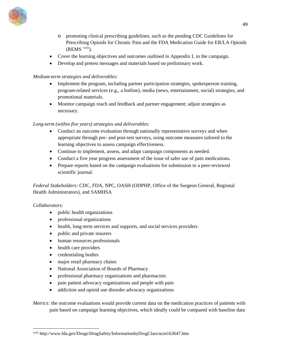

- o promoting clinical prescribing guidelines, such as the pending CDC Guidelines for Prescribing Opioids for Chronic Pain and the FDA Medication Guide for ER/LA Opioids  $(REMS^{xxiii})$ .
- Cover the learning objectives and outcomes outlined in Appendix L in the campaign.
- Develop and pretest messages and materials based on preliminary work.

## *Medium-term strategies and deliverables:*

- Implement the program, including partner participation strategies, spokesperson training, program-related services (e.g., a hotline), media (news, entertainment, social) strategies, and promotional materials.
- Monitor campaign reach and feedback and partner engagement; adjust strategies as necessary.

### *Long-term (within five years) strategies and deliverables:*

- Conduct an outcome evaluation through nationally representative surveys and when appropriate through pre- and post-test surveys, using outcome measures tailored to the learning objectives to assess campaign effectiveness.
- Continue to implement, assess, and adapt campaign components as needed.
- Conduct a five year progress assessment of the issue of safer use of pain medications.
- Prepare reports based on the campaign evaluations for submission to a peer-reviewed scientific journal.

*Federal Stakeholders:* CDC, FDA, NPC, OASH (ODPHP, Office of the Surgeon General, Regional Health Administrators), and SAMHSA

#### *Collaborators:*

 $\overline{a}$ 

- public health organizations
- professional organizations
- health, long-term services and supports, and social services providers
- public and private insurers
- human resources professionals
- health care providers
- credentialing bodies
- major retail pharmacy chains
- National Association of Boards of Pharmacy
- professional pharmacy organizations and pharmacists
- pain patient advocacy organizations and people with pain
- addiction and opioid use disorder advocacy organizations

*Metrics:* the outcome evaluations would provide current data on the medication practices of patients with pain based on campaign learning objectives, which ideally could be compared with baseline data

<span id="page-49-0"></span>xxiii http://www.fda.gov/Drugs/DrugSafety/InformationbyDrugClass/ucm163647.htm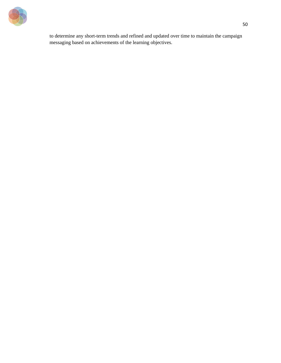

to determine any short-term trends and refined and updated over time to maintain the campaign messaging based on achievements of the learning objectives.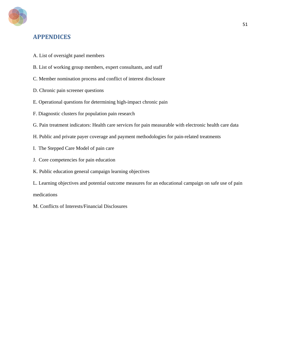

## **APPENDICES**

- A. List of oversight panel members
- B. List of working group members, expert consultants, and staff
- C. Member nomination process and conflict of interest disclosure
- D. Chronic pain screener questions
- E. Operational questions for determining high-impact chronic pain
- F. Diagnostic clusters for population pain research
- G. Pain treatment indicators: Health care services for pain measurable with electronic health care data
- H. Public and private payer coverage and payment methodologies for pain-related treatments
- I. The Stepped Care Model of pain care
- J. Core competencies for pain education
- K. Public education general campaign learning objectives
- L. Learning objectives and potential outcome measures for an educational campaign on safe use of pain

medications

M. Conflicts of Interests/Financial Disclosures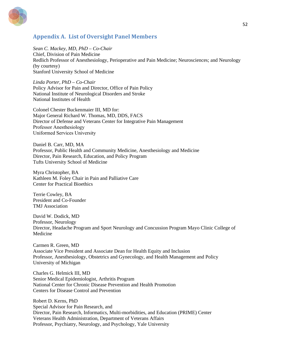

## **Appendix A. List of Oversight Panel Members**

*Sean C. Mackey, MD, PhD – Co-Chair*

Chief, Division of Pain Medicine Redlich Professor of Anesthesiology, Perioperative and Pain Medicine; Neurosciences; and Neurology (by courtesy) Stanford University School of Medicine

*Linda Porter, PhD – Co-Chair* Policy Advisor for Pain and Director, Office of Pain Policy National Institute of Neurological Disorders and Stroke National Institutes of Health

Colonel Chester Buckenmaier III, MD for: Major General Richard W. Thomas, MD, DDS, FACS Director of Defense and Veterans Center for Integrative Pain Management Professor Anesthesiology Uniformed Services University

Daniel B. Carr, MD, MA Professor, Public Health and Community Medicine, Anesthesiology and Medicine Director, Pain Research, Education, and Policy Program Tufts University School of Medicine

Myra Christopher, BA Kathleen M. Foley Chair in Pain and Palliative Care Center for Practical Bioethics

Terrie Cowley, BA President and Co-Founder TMJ Association

David W. Dodick, MD Professor, Neurology Director, Headache Program and Sport Neurology and Concussion Program Mayo Clinic College of Medicine

Carmen R. Green, MD Associate Vice President and Associate Dean for Health Equity and Inclusion Professor, Anesthesiology, Obstetrics and Gynecology, and Health Management and Policy University of Michigan

Charles G. Helmick III, MD Senior Medical Epidemiologist, Arthritis Program National Center for Chronic Disease Prevention and Health Promotion Centers for Disease Control and Prevention

Robert D. Kerns, PhD Special Advisor for Pain Research, and Director, Pain Research, Informatics, Multi-morbidities, and Education (PRIME) Center Veterans Health Administration, Department of Veterans Affairs Professor, Psychiatry, Neurology, and Psychology, Yale University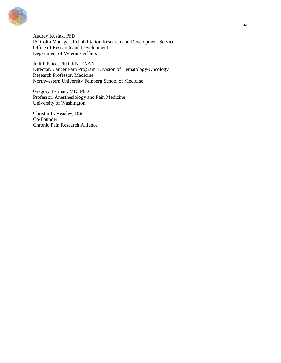

Audrey Kusiak, PhD Portfolio Manager, Rehabilitation Research and Development Service Office of Research and Development Department of Veterans Affairs

Judith Paice, PhD, RN, FAAN Director, Cancer Pain Program, Division of Hematology-Oncology Research Professor, Medicine Northwestern University Feinberg School of Medicine

Gregory Terman, MD, PhD Professor, Anesthesiology and Pain Medicine University of Washington

Christin L. Veasley, BSc Co-Founder Chronic Pain Research Alliance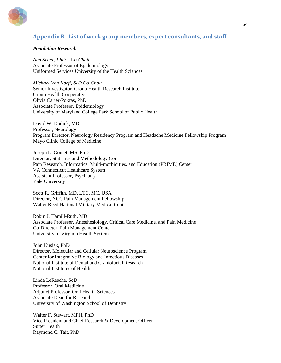

## **Appendix B. List of work group members, expert consultants, and staff**

#### *Population Research*

*Ann Scher, PhD – Co-Chair* Associate Professor of Epidemiology Uniformed Services University of the Health Sciences

*Michael Von Korff, ScD Co-Chair* Senior Investigator, Group Health Research Institute Group Health Cooperative Olivia Carter-Pokras, PhD Associate Professor, Epidemiology University of Maryland College Park School of Public Health

David W. Dodick, MD Professor, Neurology Program Director, Neurology Residency Program and Headache Medicine Fellowship Program Mayo Clinic College of Medicine

Joseph L. Goulet, MS, PhD Director, Statistics and Methodology Core Pain Research, Informatics, Multi-morbidities, and Education (PRIME) Center VA Connecticut Healthcare System Assistant Professor, Psychiatry Yale University

Scott R. Griffith, MD, LTC, MC, USA Director, NCC Pain Management Fellowship Walter Reed National Military Medical Center

Robin J. Hamill-Ruth, MD Associate Professor, Anesthesiology, Critical Care Medicine, and Pain Medicine Co-Director, Pain Management Center University of Virginia Health System

John Kusiak, PhD Director, Molecular and Cellular Neuroscience Program Center for Integrative Biology and Infectious Diseases National Institute of Dental and Craniofacial Research National Institutes of Health

Linda LeResche, ScD Professor, Oral Medicine Adjunct Professor, Oral Health Sciences Associate Dean for Research University of Washington School of Dentistry

Walter F. Stewart, MPH, PhD Vice President and Chief Research & Development Officer Sutter Health Raymond C. Tait, PhD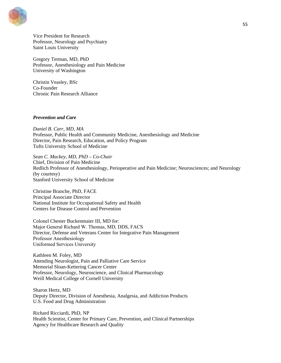

Vice President for Research Professor, Neurology and Psychiatry Saint Louis University

Gregory Terman, MD, PhD Professor, Anesthesiology and Pain Medicine University of Washington

Christin Veasley, BSc Co-Founder Chronic Pain Research Alliance

#### *Prevention and Care*

*Daniel B. Carr, MD, MA* Professor, Public Health and Community Medicine, Anesthesiology and Medicine Director, Pain Research, Education, and Policy Program Tufts University School of Medicine

*Sean C. Mackey, MD, PhD – Co-Chair* Chief, Division of Pain Medicine Redlich Professor of Anesthesiology, Perioperative and Pain Medicine; Neurosciences; and Neurology (by courtesy) Stanford University School of Medicine

Christine Branche, PhD, FACE Principal Associate Director National Institute for Occupational Safety and Health Centers for Disease Control and Prevention

Colonel Chester Buckenmaier III, MD for: Major General Richard W. Thomas, MD, DDS, FACS Director, Defense and Veterans Center for Integrative Pain Management Professor Anesthesiology Uniformed Services University

Kathleen M. Foley, MD Attending Neurologist, Pain and Palliative Care Service Memorial Sloan-Kettering Cancer Center Professor, Neurology, Neuroscience, and Clinical Pharmacology Weill Medical College of Cornell University

Sharon Hertz, MD Deputy Director, Division of Anesthesia, Analgesia, and Addiction Products U.S. Food and Drug Administration

Richard Ricciardi, PhD, NP Health Scientist, Center for Primary Care, Prevention, and Clinical Partnerships Agency for Healthcare Research and Quality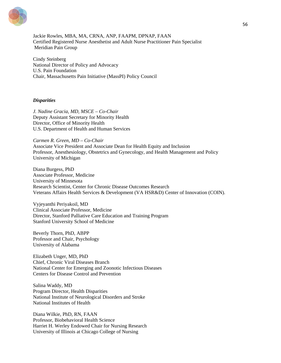

Jackie Rowles, MBA, MA, CRNA, ANP, FAAPM, DPNAP, FAAN Certified Registered Nurse Anesthetist and Adult Nurse Practitioner Pain Specialist Meridian Pain Group

Cindy Steinberg National Director of Policy and Advocacy U.S. Pain Foundation Chair, Massachusetts Pain Initiative (MassPI) Policy Council

#### *Disparities*

*J. Nadine Gracia, MD, MSCE – Co-Chair* Deputy Assistant Secretary for Minority Health Director, Office of Minority Health U.S. Department of Health and Human Services

*Carmen R. Green, MD – Co-Chair*  Associate Vice President and Associate Dean for Health Equity and Inclusion Professor, Anesthesiology, Obstetrics and Gynecology, and Health Management and Policy University of Michigan

Diana Burgess, PhD Associate Professor, Medicine University of Minnesota Research Scientist, Center for Chronic Disease Outcomes Research Veterans Affairs Health Services & Development (VA HSR&D) Center of Innovation (COIN).

Vyjeyanthi Periyakoil, MD Clinical Associate Professor, Medicine Director, Stanford Palliative Care Education and Training Program Stanford University School of Medicine

Beverly Thorn, PhD, ABPP Professor and Chair, Psychology University of Alabama

Elizabeth Unger, MD, PhD Chief, Chronic Viral Diseases Branch National Center for Emerging and Zoonotic Infectious Diseases Centers for Disease Control and Prevention

Salina Waddy, MD Program Director, Health Disparities National Institute of Neurological Disorders and Stroke National Institutes of Health

Diana Wilkie, PhD, RN, FAAN Professor, Biobehavioral Health Science Harriet H. Werley Endowed Chair for Nursing Research University of Illinois at Chicago College of Nursing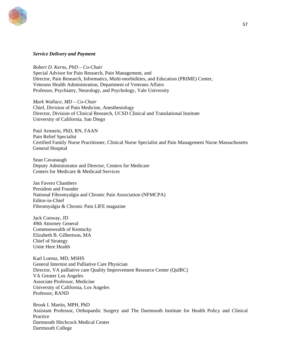

#### *Service Delivery and Payment*

*Robert D. Kerns, PhD – Co-Chair*  Special Advisor for Pain Research, Pain Management, and Director, Pain Research, Informatics, Multi-morbidities, and Education (PRIME) Center, Veterans Health Administration, Department of Veterans Affairs Professor, Psychiatry, Neurology, and Psychology, Yale University

*Mark Wallace, MD – Co-Chair* Chief, Division of Pain Medicine, Anesthesiology Director, Division of Clinical Research, UCSD Clinical and Translational Institute University of California, San Diego

Paul Arnstein, PhD, RN, FAAN Pain Relief Specialist Certified Family Nurse Practitioner, Clinical Nurse Specialist and Pain Management Nurse Massachusetts General Hospital

Sean Cavanaugh Deputy Administrator and Director, Centers for Medicare Centers for Medicare & Medicaid Services

Jan Favero Chambers President and Founder National Fibromyalgia and Chronic Pain Association (NFMCPA) Editor-in-Chief Fibromyalgia & Chronic Pain LIFE magazine

Jack Conway, JD 49th Attorney General Commonwealth of Kentucky Elizabeth B. Gilbertson, MA Chief of Strategy Unite Here Health

Karl Lorenz, MD, MSHS General Internist and Palliative Care Physician Director, VA palliative care Quality Improvement Resource Center (QuIRC) VA Greater Los Angeles Associate Professor, Medicine University of California, Los Angeles Professor, RAND

Brook I. Martin, MPH, PhD Assistant Professor, Orthopaedic Surgery and The Dartmouth Institute for Health Policy and Clinical **Practice** Dartmouth Hitchcock Medical Center Dartmouth College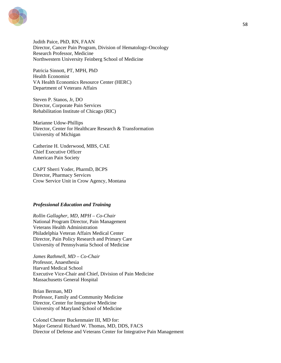

Judith Paice, PhD, RN, FAAN Director, Cancer Pain Program, Division of Hematology-Oncology Research Professor, Medicine Northwestern University Feinberg School of Medicine

Patricia Sinnott, PT, MPH, PhD Health Economist VA Health Economics Resource Center (HERC) Department of Veterans Affairs

Steven P. Stanos, Jr, DO Director, Corporate Pain Services Rehabilitation Institute of Chicago (RIC)

Marianne Udow-Phillips Director, Center for Healthcare Research & Transformation University of Michigan

Catherine H. Underwood, MBS, CAE Chief Executive Officer American Pain Society

CAPT Sherri Yoder, PharmD, BCPS Director, Pharmacy Services Crow Service Unit in Crow Agency, Montana

#### *Professional Education and Training*

*Rollin Gallagher, MD, MPH – Co-Chair* National Program Director, Pain Management Veterans Health Administration Philadelphia Veteran Affairs Medical Center Director, Pain Policy Research and Primary Care University of Pennsylvania School of Medicine

*James Rathmell, MD – Co-Chair*  Professor, Anaesthesia Harvard Medical School Executive Vice-Chair and Chief, Division of Pain Medicine Massachusetts General Hospital

Brian Berman, MD Professor, Family and Community Medicine Director, Center for Integrative Medicine University of Maryland School of Medicine

Colonel Chester Buckenmaier III, MD for: Major General Richard W. Thomas, MD, DDS, FACS Director of Defense and Veterans Center for Integrative Pain Management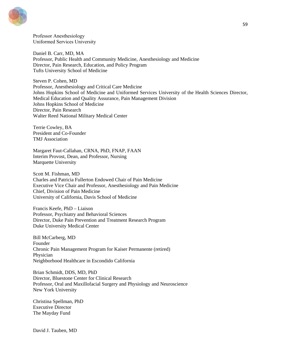

Professor Anesthesiology Uniformed Services University

Daniel B. Carr, MD, MA Professor, Public Health and Community Medicine, Anesthesiology and Medicine Director, Pain Research, Education, and Policy Program Tufts University School of Medicine

Steven P. Cohen, MD Professor, Anesthesiology and Critical Care Medicine Johns Hopkins School of Medicine and Uniformed Services University of the Health Sciences Director, Medical Education and Quality Assurance, Pain Management Division Johns Hopkins School of Medicine Director, Pain Research Walter Reed National Military Medical Center

Terrie Cowley, BA President and Co-Founder TMJ Association

Margaret Faut-Callahan, CRNA, PhD, FNAP, FAAN Interim Provost, Dean, and Professor, Nursing Marquette University

Scott M. Fishman, MD Charles and Patricia Fullerton Endowed Chair of Pain Medicine Executive Vice Chair and Professor, Anesthesiology and Pain Medicine Chief, Division of Pain Medicine University of California, Davis School of Medicine

Francis Keefe, PhD – Liaison Professor, Psychiatry and Behavioral Sciences Director, Duke Pain Prevention and Treatment Research Program Duke University Medical Center

Bill McCarberg, MD Founder Chronic Pain Management Program for Kaiser Permanente (retired) Physician Neighborhood Healthcare in Escondido California

Brian Schmidt, DDS, MD, PhD Director, Bluestone Center for Clinical Research Professor, Oral and Maxillofacial Surgery and Physiology and Neuroscience New York University

Christina Spellman, PhD Executive Director The Mayday Fund

David J. Tauben, MD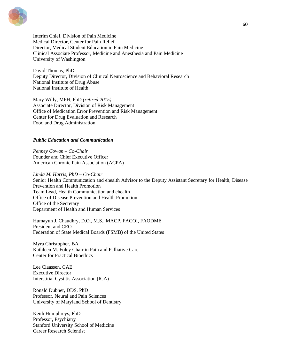

Interim Chief, Division of Pain Medicine Medical Director, Center for Pain Relief Director, Medical Student Education in Pain Medicine Clinical Associate Professor, Medicine and Anesthesia and Pain Medicine University of Washington

David Thomas, PhD Deputy Director, Division of Clinical Neuroscience and Behavioral Research National Institute of Drug Abuse National Institute of Health

Mary Willy, MPH, PhD *(retired 2015)* Associate Director, Division of Risk Management Office of Medication Error Prevention and Risk Management Center for Drug Evaluation and Research Food and Drug Administration

#### *Public Education and Communication*

*Penney Cowan – Co-Chair* Founder and Chief Executive Officer American Chronic Pain Association (ACPA)

*Linda M. Harris, PhD – Co-Chair* Senior Health Communication and ehealth Advisor to the Deputy Assistant Secretary for Health, Disease Prevention and Health Promotion Team Lead, Health Communication and ehealth Office of Disease Prevention and Health Promotion Office of the Secretary Department of Health and Human Services

Humayun J. Chaudhry, D.O., M.S., MACP, FACOI, FAODME President and CEO Federation of State Medical Boards (FSMB) of the United States

Myra Christopher, BA Kathleen M. Foley Chair in Pain and Palliative Care Center for Practical Bioethics

Lee Claassen, CAE Executive Director Interstitial Cystitis Association (ICA)

Ronald Dubner, DDS, PhD Professor, Neural and Pain Sciences University of Maryland School of Dentistry

Keith Humphreys, PhD Professor, Psychiatry Stanford University School of Medicine Career Research Scientist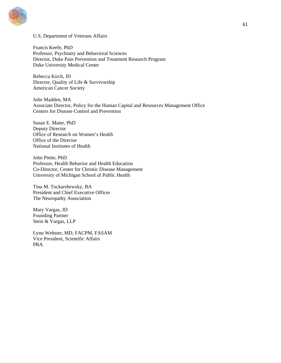

#### U.S. Department of Veterans Affairs

Francis Keefe, PhD Professor, Psychiatry and Behavioral Sciences Director, Duke Pain Prevention and Treatment Research Program Duke University Medical Center

Rebecca Kirch, JD Director, Quality of Life & Survivorship American Cancer Society

Julie Madden, MA Associate Director, Policy for the Human Capital and Resources Management Office Centers for Disease Control and Prevention

Susan E. Maier, PhD Deputy Director Office of Research on Women's Health Office of the Director National Institutes of Health

John Piette, PhD Professor, Health Behavior and Health Education Co-Director, Center for Chronic Disease Management University of Michigan School of Public Health

Tina M. Tockarshewsky, BA President and Chief Executive Officer The Neuropathy Association

Mary Vargas, JD Founding Partner Stein & Vargas, LLP

Lynn Webster, MD, FACPM, FASAM Vice President, Scientific Affairs PRA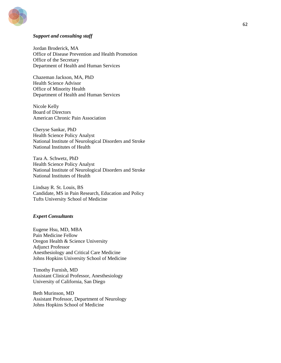

#### *Support and consulting staff*

Jordan Broderick, MA Office of Disease Prevention and Health Promotion Office of the Secretary Department of Health and Human Services

Chazeman Jackson, MA, PhD Health Science Advisor Office of Minority Health Department of Health and Human Services

Nicole Kelly Board of Directors American Chronic Pain Association

Cheryse Sankar, PhD Health Science Policy Analyst National Institute of Neurological Disorders and Stroke National Institutes of Health

Tara A. Schwetz, PhD Health Science Policy Analyst National Institute of Neurological Disorders and Stroke National Institutes of Health

Lindsay R. St. Louis, BS Candidate, MS in Pain Research, Education and Policy Tufts University School of Medicine

#### *Expert Consultants*

Eugene Hsu, MD, MBA Pain Medicine Fellow Oregon Health & Science University Adjunct Professor Anesthesiology and Critical Care Medicine Johns Hopkins University School of Medicine

Timothy Furnish, MD Assistant Clinical Professor, Anesthesiology University of California, San Diego

Beth Murinson, MD Assistant Professor, Department of Neurology Johns Hopkins School of Medicine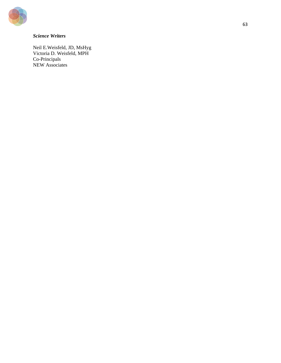

## *Science Writers*

Neil E.Weisfeld, JD, MsHyg Victoria D. Weisfeld, MPH Co-Principals NEW Associates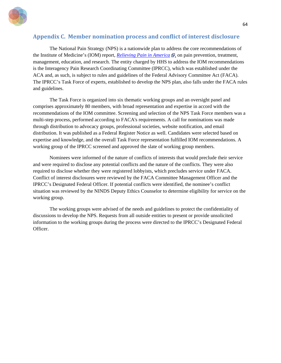

## **Appendix C. Member nomination process and conflict of interest disclosure**

The National Pain Strategy (NPS) is a nationwide plan to address the core recommendations of the Institute of Medicine's (IOM) report[,](http://www.ninds.nih.gov/exit_disclaimer.htm) *[Relieving Pain in America](https://www.nap.edu/read/13172/chapter/1)*  $\mathbb{F}$ , on pain prevention, treatment, management, education, and research. The entity charged by HHS to address the IOM recommendations is the Interagency Pain Research Coordinating Committee (IPRCC), which was established under the ACA and, as such, is subject to rules and guidelines of the Federal Advisory Committee Act (FACA). The IPRCC's Task Force of experts, established to develop the NPS plan, also falls under the FACA rules and guidelines.

The Task Force is organized into six thematic working groups and an oversight panel and comprises approximately 80 members, with broad representation and expertise in accord with the recommendations of the IOM committee. Screening and selection of the NPS Task Force members was a multi-step process, performed according to FACA's requirements. A call for nominations was made through distribution to advocacy groups, professional societies, website notification, and email distribution. It was published as a Federal Register Notice as well. Candidates were selected based on expertise and knowledge, and the overall Task Force representation fulfilled IOM recommendations. A working group of the IPRCC screened and approved the slate of working group members.

Nominees were informed of the nature of conflicts of interests that would preclude their service and were required to disclose any potential conflicts and the nature of the conflicts. They were also required to disclose whether they were registered lobbyists, which precludes service under FACA. Conflict of interest disclosures were reviewed by the FACA Committee Management Officer and the IPRCC's Designated Federal Officer. If potential conflicts were identified, the nominee's conflict situation was reviewed by the NINDS Deputy Ethics Counselor to determine eligibility for service on the working group.

The working groups were advised of the needs and guidelines to protect the confidentiality of discussions to develop the NPS. Requests from all outside entities to present or provide unsolicited information to the working groups during the process were directed to the IPRCC's Designated Federal Officer.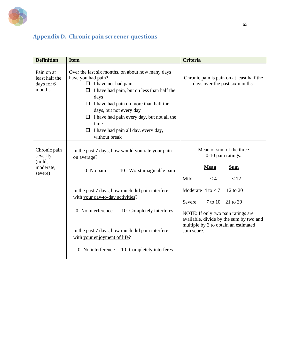

# **Appendix D. Chronic pain screener questions**

| <b>Definition</b>                                          | <b>Item</b>                                                                                                                                                                                                                                                                                                                                                                    | <b>Criteria</b>                                                                                                                     |  |  |
|------------------------------------------------------------|--------------------------------------------------------------------------------------------------------------------------------------------------------------------------------------------------------------------------------------------------------------------------------------------------------------------------------------------------------------------------------|-------------------------------------------------------------------------------------------------------------------------------------|--|--|
| Pain on at<br>least half the<br>days for 6<br>months       | Over the last six months, on about how many days<br>have you had pain?<br>$\Box$ I have not had pain<br>I have had pain, but on less than half the<br>$\Box$<br>days<br>$\Box$ I have had pain on more than half the<br>days, but not every day<br>$\Box$ I have had pain every day, but not all the<br>time<br>I have had pain all day, every day,<br>$\Box$<br>without break | Chronic pain is pain on at least half the<br>days over the past six months.                                                         |  |  |
| Chronic pain<br>severity<br>(mild,<br>moderate,<br>severe) | In the past 7 days, how would you rate your pain<br>on average?<br>$0 = No$ pain<br>10= Worst imaginable pain                                                                                                                                                                                                                                                                  | Mean or sum of the three<br>0-10 pain ratings.<br><b>Mean</b><br><b>Sum</b><br>Mild<br>< 12<br>< 4                                  |  |  |
|                                                            | In the past 7 days, how much did pain interfere<br>with your day-to-day activities?                                                                                                                                                                                                                                                                                            | Moderate $4$ to $<$ 7<br>12 to 20<br>7 to 10<br>Severe<br>21 to 30                                                                  |  |  |
|                                                            | $0 = No$ interference<br>10=Completely interferes<br>In the past 7 days, how much did pain interfere<br>with your enjoyment of life?                                                                                                                                                                                                                                           | NOTE: If only two pain ratings are<br>available, divide by the sum by two and<br>multiple by 3 to obtain an estimated<br>sum score. |  |  |
|                                                            | 0=No interference<br>10=Completely interferes                                                                                                                                                                                                                                                                                                                                  |                                                                                                                                     |  |  |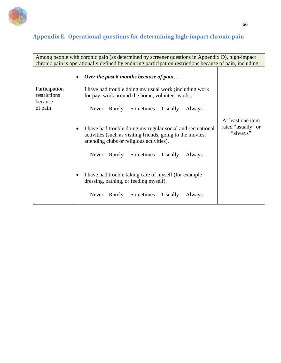

# **Appendix E. Operational questions for determining high-impact chronic pain**

| Among people with chronic pain (as determined by screener questions in Appendix D), high-impact<br>chronic pain is operationally defined by enduring participation restrictions because of pain, including: |                                                                                                                                                                                     |  |  |  |  |
|-------------------------------------------------------------------------------------------------------------------------------------------------------------------------------------------------------------|-------------------------------------------------------------------------------------------------------------------------------------------------------------------------------------|--|--|--|--|
| Participation                                                                                                                                                                                               |                                                                                                                                                                                     |  |  |  |  |
| restrictions<br>because<br>of pain                                                                                                                                                                          | I have had trouble doing my usual work (including work<br>for pay, work around the home, volunteer work).<br>Rarely Sometimes<br>Usually<br>Always<br>Never                         |  |  |  |  |
|                                                                                                                                                                                                             | I have had trouble doing my regular social and recreational<br>$\bullet$<br>activities (such as visiting friends, going to the movies,<br>attending clubs or religious activities). |  |  |  |  |
|                                                                                                                                                                                                             | Sometimes<br>Usually<br>Rarely<br>Never<br>Always                                                                                                                                   |  |  |  |  |
|                                                                                                                                                                                                             |                                                                                                                                                                                     |  |  |  |  |
|                                                                                                                                                                                                             | Sometimes<br>Usually<br>Rarely<br>Never<br>Always                                                                                                                                   |  |  |  |  |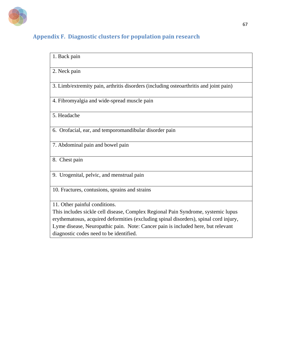

## **Appendix F. Diagnostic clusters for population pain research**

| 1. Back pain                                                                          |
|---------------------------------------------------------------------------------------|
| 2. Neck pain                                                                          |
| 3. Limb/extremity pain, arthritis disorders (including osteoarthritis and joint pain) |
| 4. Fibromyalgia and wide-spread muscle pain                                           |
| 5. Headache                                                                           |
| 6. Orofacial, ear, and temporomandibular disorder pain                                |
| 7. Abdominal pain and bowel pain                                                      |
| 8. Chest pain                                                                         |
| 9. Urogenital, pelvic, and menstrual pain                                             |
| 10. Fractures, contusions, sprains and strains                                        |
| 11. Other painful conditions.                                                         |
| This includes sickle cell disease, Complex Regional Pain Syndrome, systemic lupus     |
| erythematosus, acquired deformities (excluding spinal disorders), spinal cord injury, |
| Lyme disease, Neuropathic pain. Note: Cancer pain is included here, but relevant      |
| diagnostic codes need to be identified.                                               |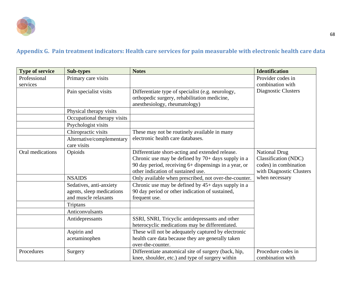

## **Appendix G. Pain treatment indicators: Health care services for pain measurable with electronic health care data**

| <b>Type of service</b>  | <b>Sub-types</b>                                  | <b>Notes</b>                                                                                      | <b>Identification</b>                      |
|-------------------------|---------------------------------------------------|---------------------------------------------------------------------------------------------------|--------------------------------------------|
| Professional            | Primary care visits                               |                                                                                                   | Provider codes in                          |
| services                |                                                   |                                                                                                   | combination with                           |
|                         | Pain specialist visits                            | Differentiate type of specialist (e.g. neurology,<br>orthopedic surgery, rehabilitation medicine, | Diagnostic Clusters                        |
|                         |                                                   | anesthesiology, rheumatology)                                                                     |                                            |
| Physical therapy visits |                                                   |                                                                                                   |                                            |
|                         | Occupational therapy visits                       |                                                                                                   |                                            |
|                         | Psychologist visits                               |                                                                                                   |                                            |
|                         | Chiropractic visits                               | These may not be routinely available in many                                                      |                                            |
|                         | Alternative/complementary                         | electronic health care databases.                                                                 |                                            |
|                         | care visits                                       |                                                                                                   |                                            |
| Oral medications        | Opioids                                           | Differentiate short-acting and extended release.                                                  | <b>National Drug</b>                       |
|                         |                                                   | Chronic use may be defined by $70+$ days supply in a                                              | Classification (NDC)                       |
|                         |                                                   | 90 day period, receiving 6+ dispensings in a year, or<br>other indication of sustained use.       | codes) in combination                      |
|                         | <b>NSAIDS</b>                                     |                                                                                                   | with Diagnostic Clusters<br>when necessary |
|                         |                                                   | Only available when prescribed, not over-the-counter.                                             |                                            |
|                         | Sedatives, anti-anxiety                           | Chronic use may be defined by $45+$ days supply in a                                              |                                            |
|                         | agents, sleep medications<br>and muscle relaxants | 90 day period or other indication of sustained,                                                   |                                            |
|                         |                                                   | frequent use.                                                                                     |                                            |
|                         | Triptans                                          |                                                                                                   |                                            |
|                         | <b>Anticonvulsants</b>                            |                                                                                                   |                                            |
|                         | Antidepressants                                   | SSRI, SNRI, Tricyclic antidepressants and other                                                   |                                            |
|                         |                                                   | heterocyclic medications may be differentiated.                                                   |                                            |
|                         | Aspirin and                                       | These will not be adequately captured by electronic                                               |                                            |
|                         | acetaminophen                                     | health care data because they are generally taken                                                 |                                            |
|                         | over-the-counter.                                 |                                                                                                   |                                            |
| Procedures              | Surgery                                           | Differentiate anatomical site of surgery (back, hip,                                              | Procedure codes in                         |
|                         |                                                   | knee, shoulder, etc.) and type of surgery within                                                  | combination with                           |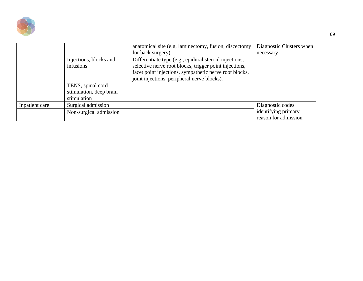

|                |                                                             | anatomical site (e.g. laminectomy, fusion, discectomy<br>for back surgery).                                                                                                                                               | Diagnostic Clusters when<br>necessary                           |
|----------------|-------------------------------------------------------------|---------------------------------------------------------------------------------------------------------------------------------------------------------------------------------------------------------------------------|-----------------------------------------------------------------|
|                | Injections, blocks and<br>infusions                         | Differentiate type (e.g., epidural steroid injections,<br>selective nerve root blocks, trigger point injections,<br>facet point injections, sympathetic nerve root blocks,<br>joint injections, peripheral nerve blocks). |                                                                 |
|                | TENS, spinal cord<br>stimulation, deep brain<br>stimulation |                                                                                                                                                                                                                           |                                                                 |
| Inpatient care | Surgical admission<br>Non-surgical admission                |                                                                                                                                                                                                                           | Diagnostic codes<br>identifying primary<br>reason for admission |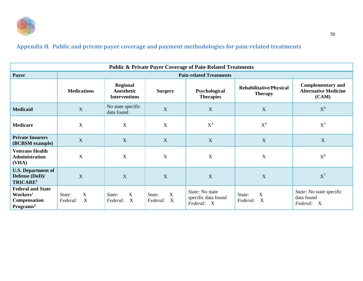

## **Appendix H. Public and private payer coverage and payment methodologies for pain-related treatments**

| <b>Public &amp; Private Payer Coverage of Pain-Related Treatments</b>                |                                |                                                       |                                                                |                                                      |                                                  |                                                                  |
|--------------------------------------------------------------------------------------|--------------------------------|-------------------------------------------------------|----------------------------------------------------------------|------------------------------------------------------|--------------------------------------------------|------------------------------------------------------------------|
| Payer                                                                                | <b>Pain-related Treatments</b> |                                                       |                                                                |                                                      |                                                  |                                                                  |
|                                                                                      | <b>Medications</b>             | <b>Regional</b><br>Anesthetic<br><b>Interventions</b> | <b>Surgery</b>                                                 | Psychological<br><b>Therapies</b>                    | <b>Rehabilitative/Physical</b><br><b>Therapy</b> | <b>Complementary and</b><br><b>Alternative Medicine</b><br>(CAM) |
| X<br><b>Medicaid</b>                                                                 |                                | No state specific<br>data found                       | X                                                              | X                                                    | X                                                | $X^5$                                                            |
| <b>Medicare</b>                                                                      | X                              | X                                                     | $\mathbf X$                                                    | $X^3$                                                | $X^4$                                            | $X^5$                                                            |
| <b>Private Insurers</b><br>(BCBSM example)                                           | X                              | X                                                     | X                                                              | X                                                    | X                                                | $\mathbf X$                                                      |
| <b>Veterans Health</b><br><b>Administration</b><br>(VHA)                             | $\mathbf X$                    | $\mathbf X$                                           | $\mathbf X$                                                    | $\boldsymbol{X}$                                     | X                                                | $X^6$                                                            |
| <b>U.S. Department of</b><br>Defense (DoD)/<br>TRICARE <sup>1</sup>                  | X                              | X                                                     | X                                                              | X                                                    | X                                                | $X^7$                                                            |
| <b>Federal and State</b><br>Workers'<br><b>Compensation</b><br>Programs <sup>2</sup> | X<br>State:<br>X<br>Federal:   | X<br>State:<br>$\boldsymbol{\mathrm{X}}$<br>Federal:  | $\mathbf X$<br>State:<br>Federal:<br>$\boldsymbol{\mathrm{X}}$ | State: No state<br>specific data found<br>Federal: X | $\boldsymbol{X}$<br>State:<br>X<br>Federal:      | State: No state specific<br>data found<br>Federal: X             |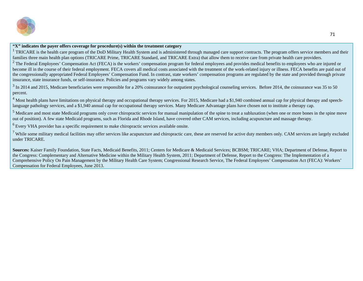

## **"X" indicates the payer offers coverage for procedure(s) within the treatment category**

<sup>1</sup> TRICARE is the health care program of the DoD Military Health System and is administered through managed care support contracts. The program offers service members and their families three main health plan options (TRICARE Prime, TRICARE Standard, and TRICARE Extra) that allow them to receive care from private health care providers.

 $2$  The Federal Employees' Compensation Act (FECA) is the workers' compensation program for federal employees and provides medical benefits to employees who are injured or become ill in the course of their federal employment. FECA covers all medical costs associated with the treatment of the work-related injury or illness. FECA benefits are paid out of the congressionally appropriated Federal Employees' Compensation Fund. In contrast, state workers' compensation programs are regulated by the state and provided through private insurance, state insurance funds, or self-insurance. Policies and programs vary widely among states.

 $3$  In 2014 and 2015, Medicare beneficiaries were responsible for a 20% coinsurance for outpatient psychological counseling services. Before 2014, the coinsurance was 35 to 50 percent.

<sup>4</sup> Most health plans have limitations on physical therapy and occupational therapy services. For 2015, Medicare had a \$1,940 combined annual cap for physical therapy and speechlanguage pathology services, and a \$1,940 annual cap for occupational therapy services. Many Medicare Advantage plans have chosen not to institute a therapy cap.

<sup>5</sup> Medicare and most state Medicaid programs only cover chiropractic services for manual manipulation of the spine to treat a subluxation (when one or more bones in the spine move out of position). A few state Medicaid programs, such as Florida and Rhode Island, have covered other CAM services, including acupuncture and massage therapy.

 $<sup>6</sup>$  Every VHA provider has a specific requirement to make chiropractic services available onsite.</sup>

 $7$  While some military medical facilities may offer services like acupuncture and chiropractic care, these are reserved for active duty members only. CAM services are largely excluded under TRICARE.

**Sources:** Kaiser Family Foundation, State Facts, Medicaid Benefits, 2011; Centers for Medicare & Medicaid Services; BCBSM; TRICARE; VHA; Department of Defense, Report to the Congress: Complementary and Alternative Medicine within the Military Health System, 2011; Department of Defense, Report to the Congress: The Implementation of a Comprehensive Policy On Pain Management by the Military Health Care System; Congressional Research Service, The Federal Employees' Compensation Act (FECA): Workers' Compensation for Federal Employees, June 2013.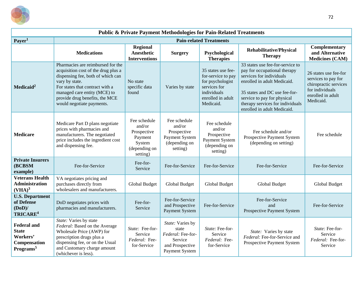

| <b>Public &amp; Private Payment Methodologies for Pain-Related Treatments</b>           |                                                                                                                                                                                                                                                                   |                                                                                         |                                                                                                |                                                                                                                               |                                                                                                                                                                                                                                                                |                                                                                                                            |
|-----------------------------------------------------------------------------------------|-------------------------------------------------------------------------------------------------------------------------------------------------------------------------------------------------------------------------------------------------------------------|-----------------------------------------------------------------------------------------|------------------------------------------------------------------------------------------------|-------------------------------------------------------------------------------------------------------------------------------|----------------------------------------------------------------------------------------------------------------------------------------------------------------------------------------------------------------------------------------------------------------|----------------------------------------------------------------------------------------------------------------------------|
| Payer <sup>1</sup>                                                                      | <b>Pain-related Treatments</b>                                                                                                                                                                                                                                    |                                                                                         |                                                                                                |                                                                                                                               |                                                                                                                                                                                                                                                                |                                                                                                                            |
|                                                                                         | <b>Medications</b>                                                                                                                                                                                                                                                | <b>Regional</b><br><b>Anesthetic</b><br><b>Interventions</b>                            | <b>Surgery</b>                                                                                 | Psychological<br><b>Therapies</b>                                                                                             | <b>Rehabilitative/Physical</b><br><b>Therapy</b>                                                                                                                                                                                                               | Complementary<br>and Alternative<br><b>Medicines (CAM)</b>                                                                 |
| Medicaid <sup>2</sup>                                                                   | Pharmacies are reimbursed for the<br>acquisition cost of the drug plus a<br>dispensing fee, both of which can<br>vary by state.<br>For states that contract with a<br>managed care entity (MCE) to<br>provide drug benefits, the MCE<br>would negotiate payments. | No state<br>specific data<br>found                                                      | Varies by state                                                                                | 35 states use fee-<br>for-service to pay<br>for psychologist<br>services for<br>individuals<br>enrolled in adult<br>Medicaid. | 33 states use fee-for-service to<br>pay for occupational therapy<br>services for individuals<br>enrolled in adult Medicaid.<br>35 states and DC use fee-for-<br>service to pay for physical<br>therapy services for individuals<br>enrolled in adult Medicaid. | 26 states use fee-for<br>services to pay for<br>chiropractic services<br>for individuals<br>enrolled in adult<br>Medicaid. |
| <b>Medicare</b>                                                                         | Medicare Part D plans negotiate<br>prices with pharmacies and<br>manufacturers. The negotiated<br>price includes the ingredient cost<br>and dispensing fee.                                                                                                       | Fee schedule<br>and/or<br>Prospective<br>Payment<br>System<br>(depending on<br>setting) | Fee schedule<br>and/or<br>Prospective<br>Payment System<br>(depending on<br>setting)           | Fee schedule<br>and/or<br>Prospective<br><b>Payment System</b><br>(depending on<br>setting)                                   | Fee schedule and/or<br>Prospective Payment System<br>(depending on setting)                                                                                                                                                                                    | Fee schedule                                                                                                               |
| <b>Private Insurers</b><br>(BCBSM<br>example)                                           | Fee-for-Service                                                                                                                                                                                                                                                   | Fee-for-<br>Service                                                                     | Fee-for-Service                                                                                | Fee-for-Service                                                                                                               | Fee-for-Service                                                                                                                                                                                                                                                | Fee-for-Service                                                                                                            |
| <b>Veterans Health</b><br>Administration<br>$(VHA)^3$                                   | VA negotiates pricing and<br>purchases directly from<br>wholesalers and manufacturers.                                                                                                                                                                            | Global Budget                                                                           | <b>Global Budget</b>                                                                           | Global Budget                                                                                                                 | <b>Global Budget</b>                                                                                                                                                                                                                                           | <b>Global Budget</b>                                                                                                       |
| <b>U.S. Department</b><br>of Defense<br>$(DoD)$ /<br>TRICARE <sup>4</sup>               | DoD negotiates prices with<br>pharmacies and manufacturers.                                                                                                                                                                                                       | Fee-for-<br>Service                                                                     | Fee-for-Service<br>and Prospective<br>Payment System                                           | Fee-for-Service                                                                                                               | Fee-for-Service<br>and<br>Prospective Payment System                                                                                                                                                                                                           | Fee-for-Service                                                                                                            |
| <b>Federal and</b><br><b>State</b><br>Workers'<br>Compensation<br>Programs <sup>5</sup> | State: Varies by state<br>Federal: Based on the Average<br>Wholesale Price (AWP) for<br>prescription drugs plus a<br>dispensing fee, or on the Usual<br>and Customary charge amount<br>(whichever is less).                                                       | State: Fee-for-<br>Service<br>Federal: Fee-<br>for-Service                              | State: Varies by<br>state<br>Federal: Fee-for-<br>Service<br>and Prospective<br>Payment System | State: Fee-for-<br>Service<br>Federal: Fee-<br>for-Service                                                                    | State: Varies by state<br>Federal: Fee-for-Service and<br>Prospective Payment System                                                                                                                                                                           | State: Fee-for-<br>Service<br>Federal: Fee-for-<br>Service                                                                 |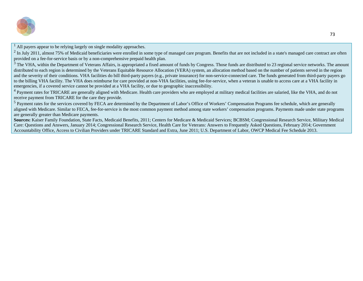

 $<sup>1</sup>$  All payers appear to be relying largely on single modality approaches.</sup>

 $^{2}$  In July 2011, almost 75% of Medicaid beneficiaries were enrolled in some type of managed care program. Benefits that are not included in a state's managed care contract are often provided on a fee-for-service basis or by a non-comprehensive prepaid health plan.

 $3$  The VHA, within the Department of Veterans Affairs, is appropriated a fixed amount of funds by Congress. Those funds are distributed to 23 regional service networks. The amount distributed to each region is determined by the Veterans Equitable Resource Allocation (VERA) system, an allocation method based on the number of patients served in the region and the severity of their conditions. VHA facilities do bill third-party payers (e.g., private insurance) for non-service-connected care. The funds generated from third-party payers go to the billing VHA facility. The VHA does reimburse for care provided at non-VHA facilities, using fee-for-service, when a veteran is unable to access care at a VHA facility in emergencies, if a covered service cannot be provided at a VHA facility, or due to geographic inaccessibility.

<sup>4</sup> Payment rates for TRICARE are generally aligned with Medicare. Health care providers who are employed at military medical facilities are salaried, like the VHA, and do not receive payment from TRICARE for the care they provide.

<sup>5</sup> Payment rates for the services covered by FECA are determined by the Department of Labor's Office of Workers' Compensation Programs fee schedule, which are generally aligned with Medicare. Similar to FECA, fee-for-service is the most common payment method among state workers' compensation programs. Payments made under state programs are generally greater than Medicare payments.

**Sources:** Kaiser Family Foundation, State Facts, Medicaid Benefits, 2011; Centers for Medicare & Medicaid Services; BCBSM; Congressional Research Service, Military Medical Care: Questions and Answers, January 2014; Congressional Research Service, Health Care for Veterans: Answers to Frequently Asked Questions, February 2014; Government Accountability Office, Access to Civilian Providers under TRICARE Standard and Extra, June 2011; U.S. Department of Labor, OWCP Medical Fee Schedule 2013.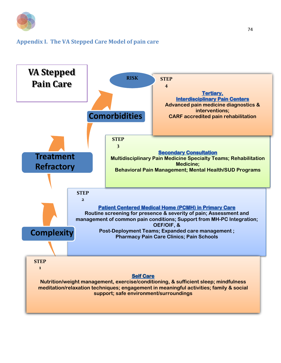

### **Appendix I. The VA Stepped Care Model of pain care**

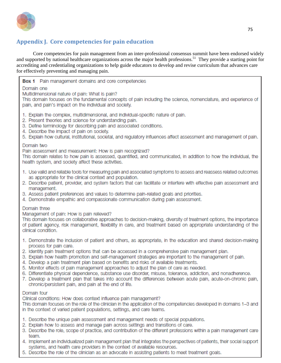

## **Appendix J. Core competencies for pain education**

Core competencies for pain management from an inter-professional consensus summit have been endorsed widely and supported by national healthcare organizations across the major health professions. 51 They provide a starting point for accrediting and credentialing organizations to help guide educators to develop and revise curriculum that advances care for effectively preventing and managing pain.

**Box 1** Pain management domains and core competencies

### Domain one

Multidimensional nature of pain: What is pain?

This domain focuses on the fundamental concepts of pain including the science, nomenclature, and experience of pain, and pain's impact on the individual and society.

- 1. Explain the complex, multidimensional, and individual-specific nature of pain.
- 2. Present theories and science for understanding pain.
- 3. Define terminology for describing pain and associated conditions.
- 4. Describe the impact of pain on society.
- 5. Explain how cultural, institutional, societal, and regulatory influences affect assessment and management of pain.

#### Domain two

Pain assessment and measurement: How is pain recognized?

This domain relates to how pain is assessed, quantified, and communicated, in addition to how the individual, the health system, and society affect these activities.

- 1. Use valid and reliable tools for measuring pain and associated symptoms to assess and reassess related outcomes as appropriate for the clinical context and population.
- 2. Describe patient, provider, and system factors that can facilitate or interfere with effective pain assessment and management.
- 3. Assess patient preferences and values to determine pain-related goals and priorities.
- 4. Demonstrate empathic and compassionate communication during pain assessment.

#### Domain three

Management of pain: How is pain relieved?

This domain focuses on collaborative approaches to decision-making, diversity of treatment options, the importance of patient agency, risk management, flexibility in care, and treatment based on appropriate understanding of the clinical condition.

- 1. Demonstrate the inclusion of patient and others, as appropriate, in the education and shared decision-making process for pain care.
- 2. Identify pain treatment options that can be accessed in a comprehensive pain management plan.
- 3. Explain how health promotion and self-management strategies are important to the management of pain.
- 4. Develop a pain treatment plan based on benefits and risks of available treatments.
- 5. Monitor effects of pain management approaches to adjust the plan of care as needed.
- 6. Differentiate physical dependence, substance use disorder, misuse, tolerance, addiction, and nonadherence,
- 7. Develop a treatment plan that takes into account the differences between acute pain, acute-on-chronic pain, chronic/persistent pain, and pain at the end of life.

### Domain four

Clinical conditions: How does context influence pain management?

This domain focuses on the role of the clinician in the application of the competencies developed in domains 1-3 and in the context of varied patient populations, settings, and care teams.

- 1. Describe the unique pain assessment and management needs of special populations.
- 2. Explain how to assess and manage pain across settings and transitions of care.
- 3. Describe the role, scope of practice, and contribution of the different professions within a pain management care team.
- 4. Implement an individualized pain management plan that integrates the perspectives of patients, their social support systems, and health care providers in the context of available resources.
- 5. Describe the role of the clinician as an advocate in assisting patients to meet treatment goals.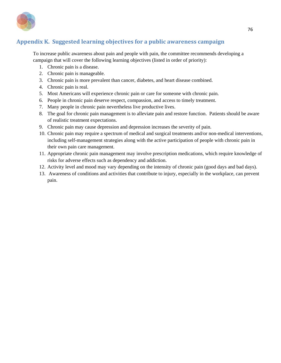

### **Appendix K. Suggested learning objectives for a public awareness campaign**

To increase public awareness about pain and people with pain, the committee recommends developing a campaign that will cover the following learning objectives (listed in order of priority):

- 1. Chronic pain is a disease.
- 2. Chronic pain is manageable.
- 3. Chronic pain is more prevalent than cancer, diabetes, and heart disease combined.
- 4. Chronic pain is real.
- 5. Most Americans will experience chronic pain or care for someone with chronic pain.
- 6. People in chronic pain deserve respect, compassion, and access to timely treatment.
- 7. Many people in chronic pain nevertheless live productive lives.
- 8. The goal for chronic pain management is to alleviate pain and restore function. Patients should be aware of realistic treatment expectations.
- 9. Chronic pain may cause depression and depression increases the severity of pain.
- 10. Chronic pain may require a spectrum of medical and surgical treatments and/or non-medical interventions, including self-management strategies along with the active participation of people with chronic pain in their own pain care management.
- 11. Appropriate chronic pain management may involve prescription medications, which require knowledge of risks for adverse effects such as dependency and addiction.
- 12. Activity level and mood may vary depending on the intensity of chronic pain (good days and bad days).
- 13. Awareness of conditions and activities that contribute to injury, especially in the workplace, can prevent pain.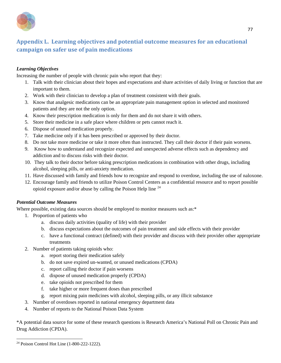

## **Appendix L. Learning objectives and potential outcome measures for an educational campaign on safer use of pain medications**

### *Learning Objectives*

Increasing the number of people with chronic pain who report that they:

- 1. Talk with their clinician about their hopes and expectations and share activities of daily living or function that are important to them.
- 2. Work with their clinician to develop a plan of treatment consistent with their goals.
- 3. Know that analgesic medications can be an appropriate pain management option in selected and monitored patients and they are not the only option.
- 4. Know their prescription medication is only for them and do not share it with others.
- 5. Store their medicine in a safe place where children or pets cannot reach it.
- 6. Dispose of unused medication properly.
- 7. Take medicine only if it has been prescribed or approved by their doctor.
- 8. Do not take more medicine or take it more often than instructed. They call their doctor if their pain worsens.
- 9. Know how to understand and recognize expected and unexpected adverse effects such as dependency and addiction and to discuss risks with their doctor.
- 10. They talk to their doctor before taking prescription medications in combination with other drugs, including alcohol, sleeping pills, or anti-anxiety medication.
- 11. Have discussed with family and friends how to recognize and respond to overdose, including the use of naloxone.
- 12. Encourage family and friends to utilize Poison Control Centers as a confidential resource and to report possible opioid exposure and/or abuse by calling the Poison Help line [24](#page-77-0)

### *Potential Outcome Measures*

Where possible, existing data sources should be employed to monitor measures such as:\*

- 1. Proportion of patients who
	- a. discuss daily activities (quality of life) with their provider
	- b. discuss expectations about the outcomes of pain treatment and side effects with their provider
	- c. have a functional contract (defined) with their provider and discuss with their provider other appropriate treatments
- 2. Number of patients taking opioids who:
	- a. report storing their medication safely
	- b. do not save expired un-wanted, or unused medications (CPDA)
	- c. report calling their doctor if pain worsens
	- d. dispose of unused medication properly (CPDA)
	- e. take opioids not prescribed for them
	- f. take higher or more frequent doses than prescribed
	- g. report mixing pain medicines with alcohol, sleeping pills, or any illicit substance
- 3. Number of overdoses reported in national emergency department data
- 4. Number of reports to the National Poison Data System

\*A potential data source for some of these research questions is Research America's National Poll on Chronic Pain and Drug Addiction (CPDA).

<span id="page-77-0"></span> $\overline{a}$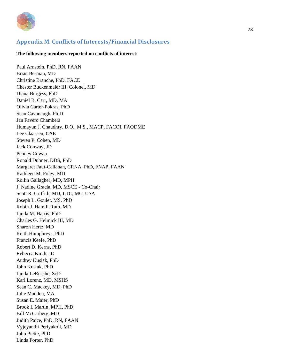

### **Appendix M. Conflicts of Interests/Financial Disclosures**

#### **The following members reported no conflicts of interest:**

Paul Arnstein, PhD, RN, FAAN Brian Berman, MD Christine Branche, PhD, FACE Chester Buckenmaier III, Colonel, MD Diana Burgess, PhD Daniel B. Carr, MD, MA Olivia Carter-Pokras, PhD Sean Cavanaugh, Ph.D. Jan Favero Chambers Humayun J. Chaudhry, D.O., M.S., MACP, FACOI, FAODME Lee Claassen, CAE Steven P. Cohen, MD Jack Conway, JD Penney Cowan Ronald Dubner, DDS, PhD Margaret Faut-Callahan, CRNA, PhD, FNAP, FAAN Kathleen M. Foley, MD Rollin Gallagher, MD, MPH J. Nadine Gracia, MD, MSCE - Co-Chair Scott R. Griffith, MD, LTC, MC, USA Joseph L. Goulet, MS, PhD Robin J. Hamill-Ruth, MD Linda M. Harris, PhD Charles G. Helmick III, MD Sharon Hertz, MD Keith Humphreys, PhD Francis Keefe, PhD Robert D. Kerns, PhD Rebecca Kirch, JD Audrey Kusiak, PhD John Kusiak, PhD Linda LeResche, ScD Karl Lorenz, MD, MSHS Sean C. Mackey, MD, PhD Julie Madden, MA Susan E. Maier, PhD Brook I. Martin, MPH, PhD Bill McCarberg, MD Judith Paice, PhD, RN, FAAN Vyjeyanthi Periyakoil, MD John Piette, PhD Linda Porter, PhD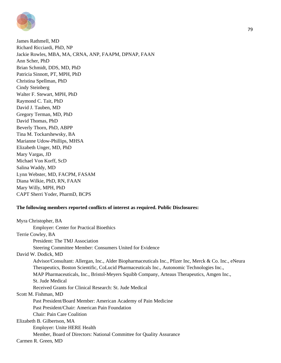

James Rathmell, MD Richard Ricciardi, PhD, NP Jackie Rowles, MBA, MA, CRNA, ANP, FAAPM, DPNAP, FAAN Ann Scher, PhD Brian Schmidt, DDS, MD, PhD Patricia Sinnott, PT, MPH, PhD Christina Spellman, PhD Cindy Steinberg Walter F. Stewart, MPH, PhD Raymond C. Tait, PhD David J. Tauben, MD Gregory Terman, MD, PhD David Thomas, PhD Beverly Thorn, PhD, ABPP Tina M. Tockarshewsky, BA Marianne Udow-Phillips, MHSA Elizabeth Unger, MD, PhD Mary Vargas, JD Michael Von Korff, ScD Salina Waddy, MD Lynn Webster, MD, FACPM, FASAM Diana Wilkie, PhD, RN, FAAN Mary Willy, MPH, PhD CAPT Sherri Yoder, PharmD, BCPS

#### **The following members reported conflicts of interest as required. Public Disclosures:**

| Myra Christopher, BA                                                                                    |
|---------------------------------------------------------------------------------------------------------|
| <b>Employer: Center for Practical Bioethics</b>                                                         |
| Terrie Cowley, BA                                                                                       |
| President: The TMJ Association                                                                          |
| Steering Committee Member: Consumers United for Evidence                                                |
| David W. Dodick, MD                                                                                     |
| Advisor/Consultant: Allergan, Inc., Alder Biopharmaceuticals Inc., Pfizer Inc, Merck & Co. Inc., eNeura |
| Therapeutics, Boston Scientific, CoLucid Pharmaceuticals Inc., Autonomic Technologies Inc.,             |
| MAP Pharmaceuticals, Inc., Bristol-Meyers Squibb Company, Arteaus Therapeutics, Amgen Inc.,             |
| St. Jude Medical                                                                                        |
| Received Grants for Clinical Research: St. Jude Medical                                                 |
| Scott M. Fishman, MD                                                                                    |
| Past President/Board Member: American Academy of Pain Medicine                                          |
| Past President/Chair: American Pain Foundation                                                          |
| <b>Chair: Pain Care Coalition</b>                                                                       |
| Elizabeth B. Gilbertson, MA                                                                             |
| Employer: Unite HERE Health                                                                             |
| Member, Board of Directors: National Committee for Quality Assurance                                    |
| Carmen R. Green, MD                                                                                     |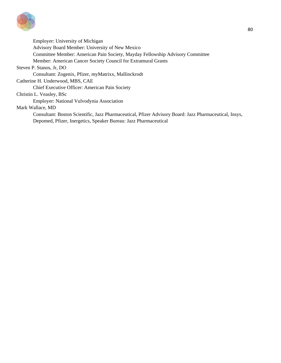

Employer: University of Michigan Advisory Board Member: University of New Mexico Committee Member: American Pain Society, Mayday Fellowship Advisory Committee Member: American Cancer Society Council for Extramural Grants Steven P. Stanos, Jr, DO Consultant: Zogenix, Pfizer, myMatrixx, Mallinckrodt Catherine H. Underwood, MBS, CAE Chief Executive Officer: American Pain Society Christin L. Veasley, BSc Employer: National Vulvodynia Association Mark Wallace, MD Consultant: Boston Scientific, Jazz Pharmaceutical, Pfizer Advisory Board: Jazz Pharmaceutical, Insys,

Depomed, Pfizer, Inergetics, Speaker Bureau: Jazz Pharmaceutical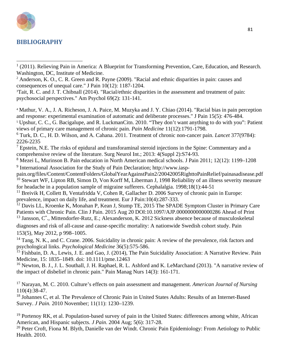# **BIBLIOGRAPHY**

 $\overline{a}$ 

<sup>4</sup> [Mathur, V. A., J. A. Richeson, J. A. Paice, M. Muzyka and J. Y. Chiao \(2014\). "Racial bias in pain perception](http://www.ncbi.nlm.nih.gov/pubmed/24462976)  [and response: experimental examination of automatic and deliberate processes." J Pain 15\(5\): 476-484.](http://www.ncbi.nlm.nih.gov/pubmed/24462976)

<sup>5</sup> [Upshur, C. C., G. Bacigalupe, and R. LuckmanCitn. 2010. "They don't want anything to do with you": Patient](http://www.ncbi.nlm.nih.gov/pubmed/?term=Upshur%2C+C.+C.%2C+G.+Bacigalupe%2C+and+R.+Luckmann.+2010.+%E2%80%9CThey+don%E2%80%99t+want+anything+to+do+with+you%E2%80%9D%3A+Patient+views+of+primary+care+management+of+chronic+pain)  [views of primary care management of chronic pain.](http://www.ncbi.nlm.nih.gov/pubmed/?term=Upshur%2C+C.+C.%2C+G.+Bacigalupe%2C+and+R.+Luckmann.+2010.+%E2%80%9CThey+don%E2%80%99t+want+anything+to+do+with+you%E2%80%9D%3A+Patient+views+of+primary+care+management+of+chronic+pain) *Pain Medicine* 11(12):1791-1798.

<sup>6</sup> [Turk, D. C., H. D. Wilson, and A. Cahana. 2011. Treatment of chronic non-cancer pain.](http://www.ncbi.nlm.nih.gov/pubmed/21704872) *Lancet* 377(9784): [2226-2235](http://www.ncbi.nlm.nih.gov/pubmed/21704872)

<sup>7</sup> Epstein, N.E. The risks of epidural and transforaminal steroid injections in the Spine: Commentary and a comprehensive review of the literature. [Surg Neurol Int.;](http://www.ncbi.nlm.nih.gov/pubmed/23646278) 2013: 4(Suppl 2):S74-93.

8 Mezei L, Murinson B. Pain education in North American medical schools. J Pain 2011; 12(12): 1199–1208 <sup>9</sup> International Association for the Study of Pain Declaration; [http://www.iasp-](http://www.iasp-/)

pain.org/files/Content/ContentFolders/GlobalYearAgainstPain2/20042005RighttoPainRelief/painasadisease.pdf <sup>10</sup> [Stewart WF,](http://www.ncbi.nlm.nih.gov/pubmed/?term=Stewart%20WF%5BAuthor%5D&cauthor=true&cauthor_uid=9601624) [Lipton RB,](http://www.ncbi.nlm.nih.gov/pubmed/?term=Lipton%20RB%5BAuthor%5D&cauthor=true&cauthor_uid=9601624) [Simon D,](http://www.ncbi.nlm.nih.gov/pubmed/?term=Simon%20D%5BAuthor%5D&cauthor=true&cauthor_uid=9601624) [Von Korff M,](http://www.ncbi.nlm.nih.gov/pubmed/?term=Von%20Korff%20M%5BAuthor%5D&cauthor=true&cauthor_uid=9601624) [Liberman J,](http://www.ncbi.nlm.nih.gov/pubmed/?term=Liberman%20J%5BAuthor%5D&cauthor=true&cauthor_uid=9601624) 1998 Reliability of an illness severity measure for headache in a population sample of migraine sufferers. [Cephalalgia.](http://www.ncbi.nlm.nih.gov/pubmed/9601624) 1998;18(1):44-51

<sup>11</sup> [Breivik H,](http://www.ncbi.nlm.nih.gov/pubmed/?term=Breivik%20H%5BAuthor%5D&cauthor=true&cauthor_uid=16095934) [Collett B,](http://www.ncbi.nlm.nih.gov/pubmed/?term=Collett%20B%5BAuthor%5D&cauthor=true&cauthor_uid=16095934) [Ventafridda V,](http://www.ncbi.nlm.nih.gov/pubmed/?term=Ventafridda%20V%5BAuthor%5D&cauthor=true&cauthor_uid=16095934) [Cohen R,](http://www.ncbi.nlm.nih.gov/pubmed/?term=Cohen%20R%5BAuthor%5D&cauthor=true&cauthor_uid=16095934) [Gallacher D.](http://www.ncbi.nlm.nih.gov/pubmed/?term=Gallacher%20D%5BAuthor%5D&cauthor=true&cauthor_uid=16095934) 2006 Survey of chronic pain in Europe: prevalence, impact on daily life, and treatment. Eur J Pain:10(4):287-333.

<sup>12</sup> [Davis LL,](http://www.ncbi.nlm.nih.gov/pubmed/?term=Davis%20LL%5BAuthor%5D&cauthor=true&cauthor_uid=26295379) [Kroenke K,](http://www.ncbi.nlm.nih.gov/pubmed/?term=Kroenke%20K%5BAuthor%5D&cauthor=true&cauthor_uid=26295379) [Monahan P,](http://www.ncbi.nlm.nih.gov/pubmed/?term=Monahan%20P%5BAuthor%5D&cauthor=true&cauthor_uid=26295379) [Kean J,](http://www.ncbi.nlm.nih.gov/pubmed/?term=Kean%20J%5BAuthor%5D&cauthor=true&cauthor_uid=26295379) Stump TE, 2015 The SPADE Symptom Cluster in Primary Care Patients with Chronic Pain. [Clin J Pain.](http://www.ncbi.nlm.nih.gov/pubmed/26295379) 2015 Aug 20 DOI:10.1097/AJP.0000000000000286 Ahead of Print  $13$  Jansson, C<sup>\*</sup>., Mittendorfer-Rutz, E.; Alexanderson, K. 2012 Sickness absence because of musculoskeletal diagnoses and risk of all-cause and cause-specific mortality: A nationwide Swedish cohort study. Pain 153(5), May 2012, p 998–1005.

 $14$  Tang, N. K., and C. Crane. 2006. Suicidality in chronic pain: A review of the prevalence, risk factors and psychological links. *[Psychological Medicine](http://www.ncbi.nlm.nih.gov/pubmed/16420727)* 36(5):575-586.

<sup>15</sup> Fishbain, D. A., Lewis, J. E. and Gao, J. (2014), The Pain Suicidality Association: A Narrative Review. Pain [Medicine, 15: 1835–1849. doi: 10.1111/pme.12463](http://www.ncbi.nlm.nih.gov/pubmed/24995953)

<sup>16</sup> Newton, B. J., J. L. Southall, J. H. Raphael, R. L. Ashford and K. LeMarchand (2013). "A narrative review of [the impact of disbelief in chronic pain." Pain Manag Nurs 14\(3\): 161-171.](http://www.ncbi.nlm.nih.gov/pubmed/23972867)

17 Narayan, M. C. 2010. Culture's effects on pain assessment and management. *American Journal of Nursing* 110(4):38-47.

<sup>18</sup> Johannes C, et al. The Prevalence of Chronic Pain in United States Adults: Results of an Internet-Based Survey. *J Pain.* 2010 November; 11(11): 1230–1239.

<sup>19</sup> Portenoy RK, et al. Population-based survey of pain in the United States: differences among white, African American, and Hispanic subjects. *J Pain*. 2004 Aug; 5(6): 317-28.

<sup>20</sup> Peter Croft, Fiona M. Blyth, Danielle van der Windt. Chronic Pain Epidemiology: From Aetiology to Public Health. 2010.

<sup>&</sup>lt;sup>1</sup> (2011). Relieving Pain in America: A Blueprint for Transforming Prevention, Care, Education, and Research. Washington, DC, Institute of Medicine.

<sup>&</sup>lt;sup>2</sup> Anderson, K. O., C. R. Green and R. Payne (2009). "Racial and ethnic disparities in pain: causes and [consequences of unequal care." J Pain 10\(12\): 1187-1204.](http://www.ncbi.nlm.nih.gov/pubmed/19944378)

<sup>3</sup> [Tait, R. C. and J. T. Chibnall \(2014\). "Racial/ethnic disparities in the assessment and treatment of pain:](http://www.ncbi.nlm.nih.gov/pubmed/24547799)  [psychosocial perspectives." Am Psychol 69\(2\): 131-141.](http://www.ncbi.nlm.nih.gov/pubmed/24547799)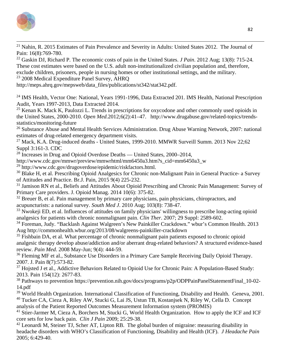

<sup>21</sup> Nahin, R. 2015 Estimates of Pain Prevalence and Severity in Adults: United States 2012. The Journal of Pain: 16(8):769-780.

22 Gaskin DJ, Richard P. The economic costs of pain in the United States. *J Pain*. 2012 Aug; 13(8): 715-24. These cost estimates were based on the U.S. adult non-institutionalized civilian population and, therefore, exclude children, prisoners, people in nursing homes or other institutional settings, and the military.

<sup>23</sup> 2008 Medical Expenditure Panel Survey, AHRQ

[http://meps.ahrq.gov/mepsweb/data\\_files/publications/st342/stat342.pdf.](http://meps.ahrq.gov/mepsweb/data_files/publications/st342/stat342.pdf)

<sup>24</sup> IMS Health, Vector One: National, Years 1991-1996, Data Extracted 201. IMS Health, National Prescription Audit, Years 1997-2013, Data Extracted 2014.

<sup>25</sup> Kenan K. Mack K, Paulozzi L. Trends in prescriptions for oxycodone and other commonly used opioids in the United States, 2000-2010. *Open Med.*2012;6(2):41–47. [http://www.drugabuse.gov/related-topics/trends](http://www.drugabuse.gov/related-topics/trends-statistics/monitoring-future)[statistics/monitoring-future](http://www.drugabuse.gov/related-topics/trends-statistics/monitoring-future)

<sup>26</sup> Substance Abuse and Mental Health Services Administration. Drug Abuse Warning Network, 2007: national estimates of drug-related emergency department visits.

 $27$  Mack, K.A. Drug-induced deaths - United States, 1999-2010. [MMWR Surveill Summ.](http://www.ncbi.nlm.nih.gov/pubmed/24264508) 2013 Nov 22;62 Suppl 3:161-3. CDC

 $^{28}$  Increases in Drug and Opioid Overdose Deaths — United States, 2000–2014,

http://www.cdc.gov/mmwr/preview/mmwrhtml/mm6450a3.htm?s\_cid=mm6450a3\_w

29 http://www.cdc.gov/drugoverdose/epidemic/riskfactors.html.

<sup>30</sup> Blake H, et al. Prescribing Opioid Analgesics for Chronic non-Malignant Pain in General Practice- a Survey of Attitudes and Practice. Br.J. Pain, 2015 9(4) 225-232.

<sup>31</sup> Jamison RN et al., Beliefs and Attitudes About Opioid Prescribing and Chronic Pain Management: Survey of Primary Care providers. J. Opioid Manag. 2014 10(6): 375-82.

<sup>32</sup> Breuer B, et al. Pain management by primary care physicians, pain physicians, chiropractors, and acupuncturists: a national survey. *South Med J*. 2010 Aug; 103(8): 738-47.

<sup>33</sup> Nwokeji ED, et al. Influences of attitudes on family physicians' willingness to prescribe long-acting opioid analgesics for patients with chronic nonmalignant pain. *Clin Ther*. 2007; 29 Suppl: 2589-602.

34 Foreman, Judy. "Backlash Against Walgreen's New Painkiller Crackdown." wbur's Common Health. 2013 Aug http://commonhealth.wbur.org/2013/08/walgreens-painkiller-crackdown<br><sup>35</sup> Fishbain DA, et al. What percentage of chronic nonmalignant pain patients exposed to chronic opioid

analgesic therapy develop abuse/addiction and/or aberrant drug-related behaviors? A structured evidence-based review. *Pain Med*. 2008 May-Jun; 9(4): 444-59.

<sup>36</sup> Fleming MF et al., Substance Use Disorders in a Primary Care Sample Receiving Daily Opioid Therapy. 2007. J. Pain 8(7):573-82.

<sup>37</sup> Hojsted J et al., Addictive Behaviors Related to Opioid Use for Chronic Pain: A Population-Based Study: 2013. Pain 154(12): 2677-83.

38 Pathways to prevention https://prevention.nih.gov/docs/programs/p2p/ODPPainPanelStatementFinal\_10-02- 14.pdf

<sup>39</sup> World Health Organization. International Classification of Functioning, Disability and Health. Geneva, 2001. <sup>40</sup> Tucker CA, Cieza A, Riley AW, Stucki G, Lai JS, Ustun TB, Kostanjsek N, Riley W, Cella D. Concept analysis of the Patient Reported Outcomes Measurement Information system (PROMIS)

<sup>41</sup> Stier-Jarmer M, Cieza A, Borchers M, Stucki G, World Health Organization. How to apply the ICF and ICF core sets for low back pain. *Clin J Pain* 2009; 25:29-38.

 $42$  Leonardi M, Steiner TJ, Scher AT, Lipton RB. The global burden of migraine: measuring disability in headache disorders with WHO's Classification of Functioning, Disability and Health (ICF). *J Headache Pain* 2005; 6:429-40.